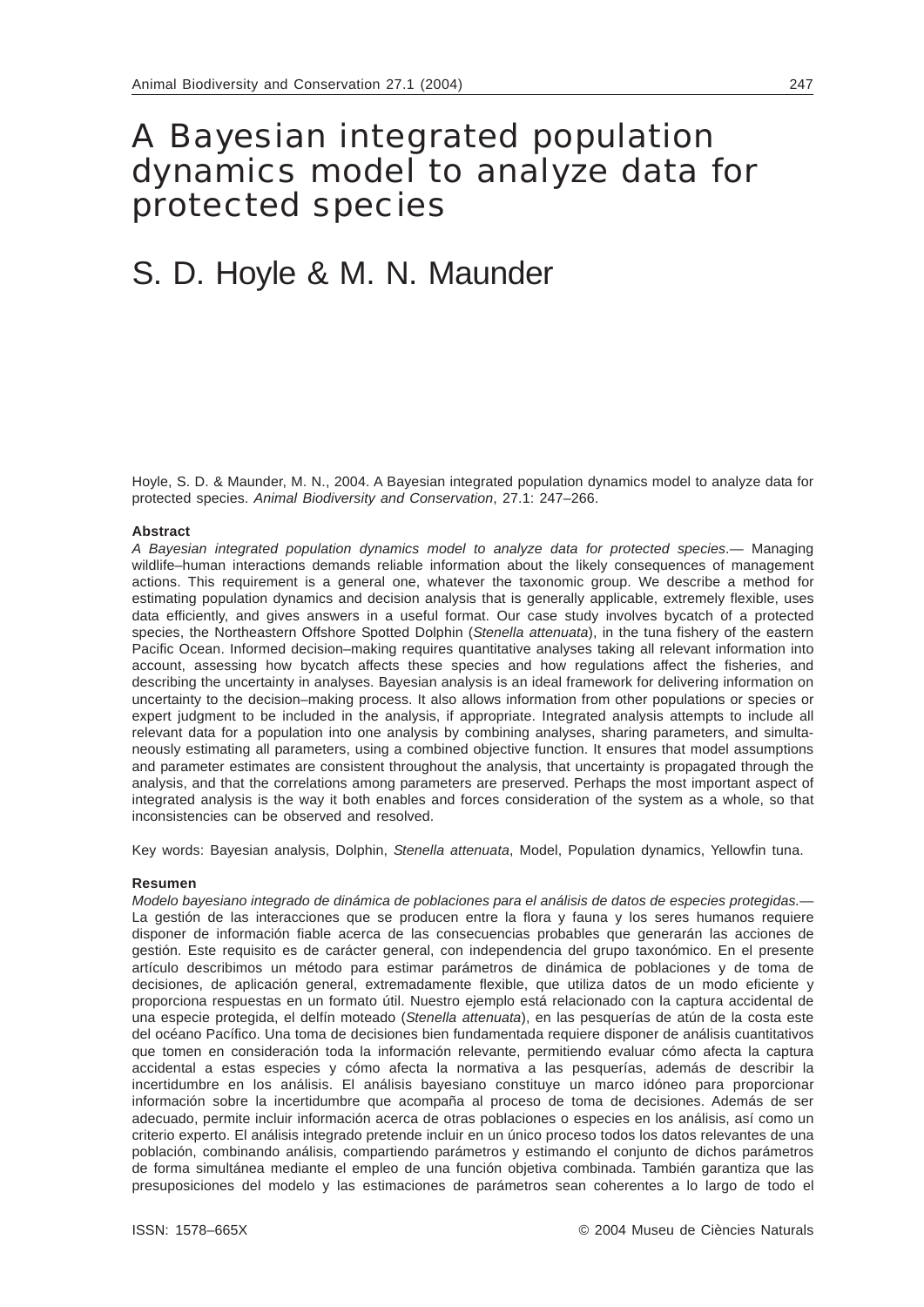# A Bayesian integrated population dynamics model to analyze data for protected species

# S. D. Hoyle & M. N. Maunder

Hoyle, S. D. & Maunder, M. N., 2004. A Bayesian integrated population dynamics model to analyze data for protected species. *Animal Biodiversity and Conservation*, 27.1: 247–266.

## **Abstract**

*A Bayesian integrated population dynamics model to analyze data for protected species*.— Managing wildlife–human interactions demands reliable information about the likely consequences of management actions. This requirement is a general one, whatever the taxonomic group. We describe a method for estimating population dynamics and decision analysis that is generally applicable, extremely flexible, uses data efficiently, and gives answers in a useful format. Our case study involves bycatch of a protected species, the Northeastern Offshore Spotted Dolphin (*Stenella attenuata*), in the tuna fishery of the eastern Pacific Ocean. Informed decision–making requires quantitative analyses taking all relevant information into account, assessing how bycatch affects these species and how regulations affect the fisheries, and describing the uncertainty in analyses. Bayesian analysis is an ideal framework for delivering information on uncertainty to the decision–making process. It also allows information from other populations or species or expert judgment to be included in the analysis, if appropriate. Integrated analysis attempts to include all relevant data for a population into one analysis by combining analyses, sharing parameters, and simultaneously estimating all parameters, using a combined objective function. It ensures that model assumptions and parameter estimates are consistent throughout the analysis, that uncertainty is propagated through the analysis, and that the correlations among parameters are preserved. Perhaps the most important aspect of integrated analysis is the way it both enables and forces consideration of the system as a whole, so that inconsistencies can be observed and resolved.

Key words: Bayesian analysis, Dolphin, *Stenella attenuata*, Model, Population dynamics, Yellowfin tuna.

### **Resumen**

*Modelo bayesiano integrado de dinámica de poblaciones para el análisis de datos de especies protegidas.*— La gestión de las interacciones que se producen entre la flora y fauna y los seres humanos requiere disponer de información fiable acerca de las consecuencias probables que generarán las acciones de gestión. Este requisito es de carácter general, con independencia del grupo taxonómico. En el presente artículo describimos un método para estimar parámetros de dinámica de poblaciones y de toma de decisiones, de aplicación general, extremadamente flexible, que utiliza datos de un modo eficiente y proporciona respuestas en un formato útil. Nuestro ejemplo está relacionado con la captura accidental de una especie protegida, el delfín moteado (*Stenella attenuata*), en las pesquerías de atún de la costa este del océano Pacífico. Una toma de decisiones bien fundamentada requiere disponer de análisis cuantitativos que tomen en consideración toda la información relevante, permitiendo evaluar cómo afecta la captura accidental a estas especies y cómo afecta la normativa a las pesquerías, además de describir la incertidumbre en los análisis. El análisis bayesiano constituye un marco idóneo para proporcionar información sobre la incertidumbre que acompaña al proceso de toma de decisiones. Además de ser adecuado, permite incluir información acerca de otras poblaciones o especies en los análisis, así como un criterio experto. El análisis integrado pretende incluir en un único proceso todos los datos relevantes de una población, combinando análisis, compartiendo parámetros y estimando el conjunto de dichos parámetros de forma simultánea mediante el empleo de una función objetiva combinada. También garantiza que las presuposiciones del modelo y las estimaciones de parámetros sean coherentes a lo largo de todo el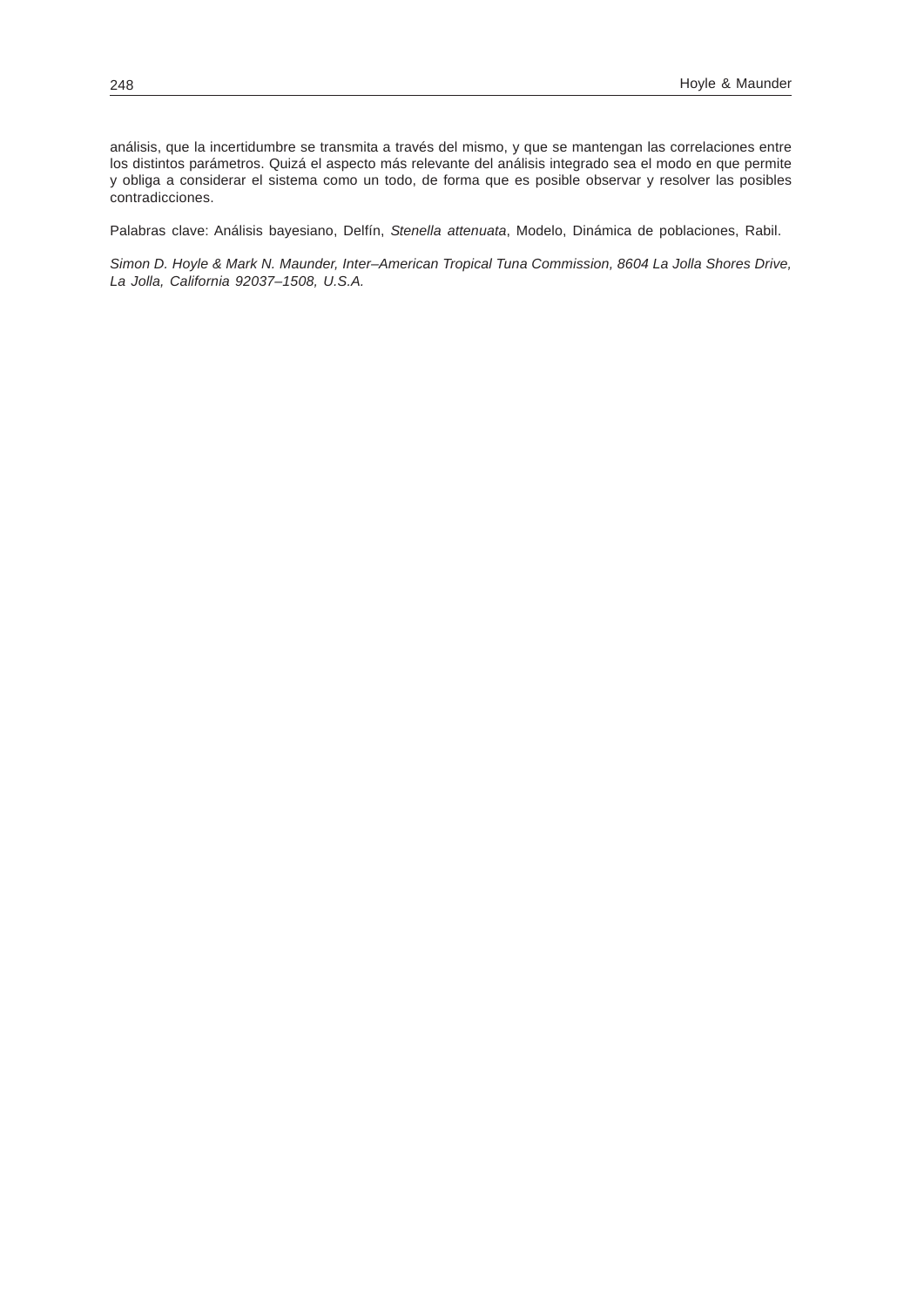análisis, que la incertidumbre se transmita a través del mismo, y que se mantengan las correlaciones entre los distintos parámetros. Quizá el aspecto más relevante del análisis integrado sea el modo en que permite y obliga a considerar el sistema como un todo, de forma que es posible observar y resolver las posibles contradicciones.

Palabras clave: Análisis bayesiano, Delfín, *Stenella attenuata*, Modelo, Dinámica de poblaciones, Rabil.

*Simon D. Hoyle & Mark N. Maunder, Inter–American Tropical Tuna Commission, 8604 La Jolla Shores Drive, La Jolla, California 92037–1508, U.S.A.*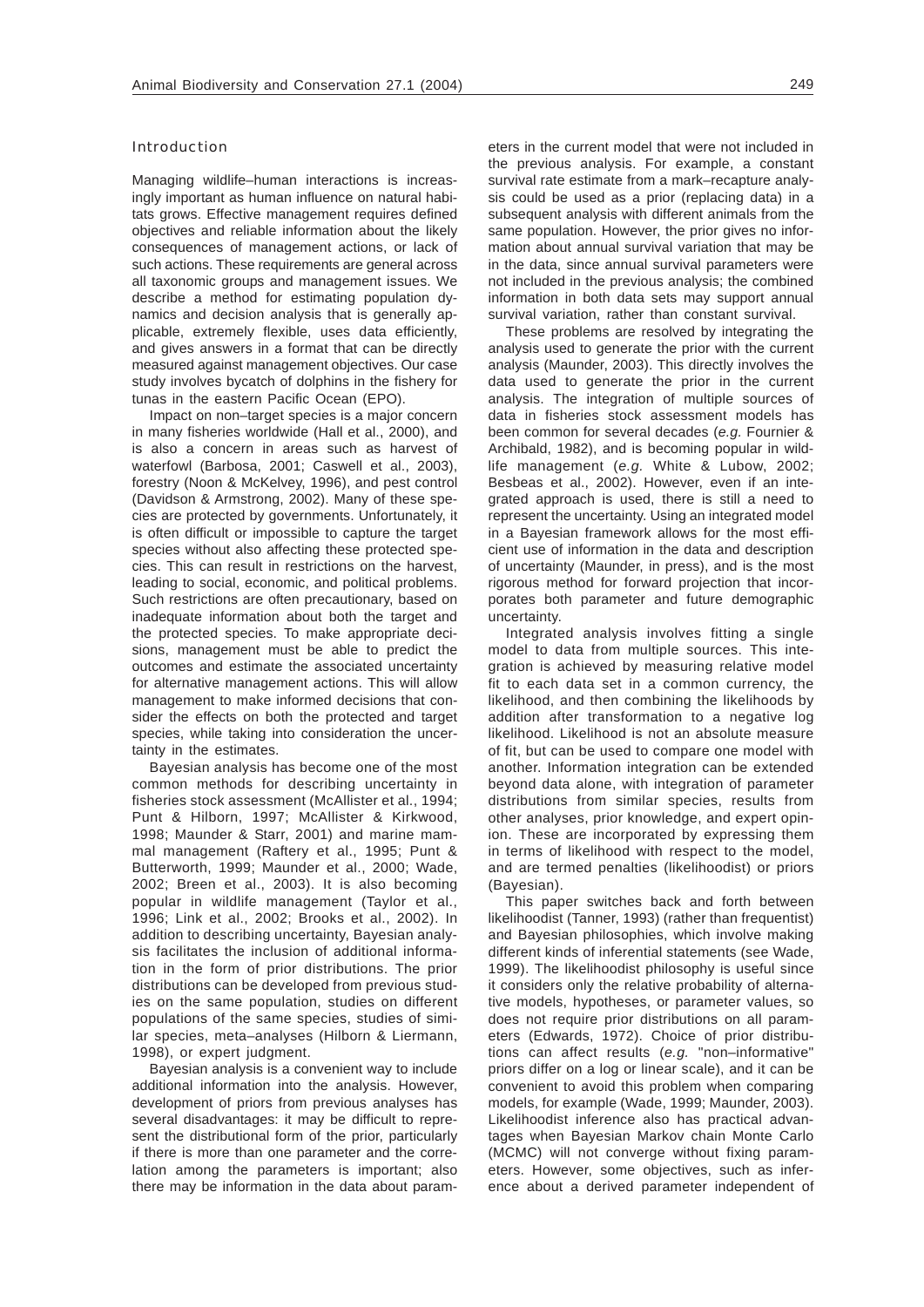# Introduction

Managing wildlife–human interactions is increasingly important as human influence on natural habitats grows. Effective management requires defined objectives and reliable information about the likely consequences of management actions, or lack of such actions. These requirements are general across all taxonomic groups and management issues. We describe a method for estimating population dynamics and decision analysis that is generally applicable, extremely flexible, uses data efficiently, and gives answers in a format that can be directly measured against management objectives. Our case study involves bycatch of dolphins in the fishery for tunas in the eastern Pacific Ocean (EPO).

Impact on non–target species is a major concern in many fisheries worldwide (Hall et al., 2000), and is also a concern in areas such as harvest of waterfowl (Barbosa, 2001; Caswell et al., 2003), forestry (Noon & McKelvey, 1996), and pest control (Davidson & Armstrong, 2002). Many of these species are protected by governments. Unfortunately, it is often difficult or impossible to capture the target species without also affecting these protected species. This can result in restrictions on the harvest, leading to social, economic, and political problems. Such restrictions are often precautionary, based on inadequate information about both the target and the protected species. To make appropriate decisions, management must be able to predict the outcomes and estimate the associated uncertainty for alternative management actions. This will allow management to make informed decisions that consider the effects on both the protected and target species, while taking into consideration the uncertainty in the estimates.

Bayesian analysis has become one of the most common methods for describing uncertainty in fisheries stock assessment (McAllister et al., 1994; Punt & Hilborn, 1997; McAllister & Kirkwood, 1998; Maunder & Starr, 2001) and marine mammal management (Raftery et al., 1995; Punt & Butterworth, 1999; Maunder et al., 2000; Wade, 2002; Breen et al., 2003). It is also becoming popular in wildlife management (Taylor et al., 1996; Link et al., 2002; Brooks et al., 2002). In addition to describing uncertainty, Bayesian analysis facilitates the inclusion of additional information in the form of prior distributions. The prior distributions can be developed from previous studies on the same population, studies on different populations of the same species, studies of similar species, meta–analyses (Hilborn & Liermann, 1998), or expert judgment.

Bayesian analysis is a convenient way to include additional information into the analysis. However, development of priors from previous analyses has several disadvantages: it may be difficult to represent the distributional form of the prior, particularly if there is more than one parameter and the correlation among the parameters is important; also there may be information in the data about parameters in the current model that were not included in the previous analysis. For example, a constant survival rate estimate from a mark–recapture analysis could be used as a prior (replacing data) in a subsequent analysis with different animals from the same population. However, the prior gives no information about annual survival variation that may be in the data, since annual survival parameters were not included in the previous analysis; the combined information in both data sets may support annual survival variation, rather than constant survival.

These problems are resolved by integrating the analysis used to generate the prior with the current analysis (Maunder, 2003). This directly involves the data used to generate the prior in the current analysis. The integration of multiple sources of data in fisheries stock assessment models has been common for several decades (*e.g.* Fournier & Archibald, 1982), and is becoming popular in wildlife management (*e.g.* White & Lubow, 2002; Besbeas et al., 2002). However, even if an integrated approach is used, there is still a need to represent the uncertainty. Using an integrated model in a Bayesian framework allows for the most efficient use of information in the data and description of uncertainty (Maunder, in press), and is the most rigorous method for forward projection that incorporates both parameter and future demographic uncertainty.

Integrated analysis involves fitting a single model to data from multiple sources. This integration is achieved by measuring relative model fit to each data set in a common currency, the likelihood, and then combining the likelihoods by addition after transformation to a negative log likelihood. Likelihood is not an absolute measure of fit, but can be used to compare one model with another. Information integration can be extended beyond data alone, with integration of parameter distributions from similar species, results from other analyses, prior knowledge, and expert opinion. These are incorporated by expressing them in terms of likelihood with respect to the model, and are termed penalties (likelihoodist) or priors (Bayesian).

This paper switches back and forth between likelihoodist (Tanner, 1993) (rather than frequentist) and Bayesian philosophies, which involve making different kinds of inferential statements (see Wade, 1999). The likelihoodist philosophy is useful since it considers only the relative probability of alternative models, hypotheses, or parameter values, so does not require prior distributions on all parameters (Edwards, 1972). Choice of prior distributions can affect results (*e.g.* "non–informative" priors differ on a log or linear scale), and it can be convenient to avoid this problem when comparing models, for example (Wade, 1999; Maunder, 2003). Likelihoodist inference also has practical advantages when Bayesian Markov chain Monte Carlo (MCMC) will not converge without fixing parameters. However, some objectives, such as inference about a derived parameter independent of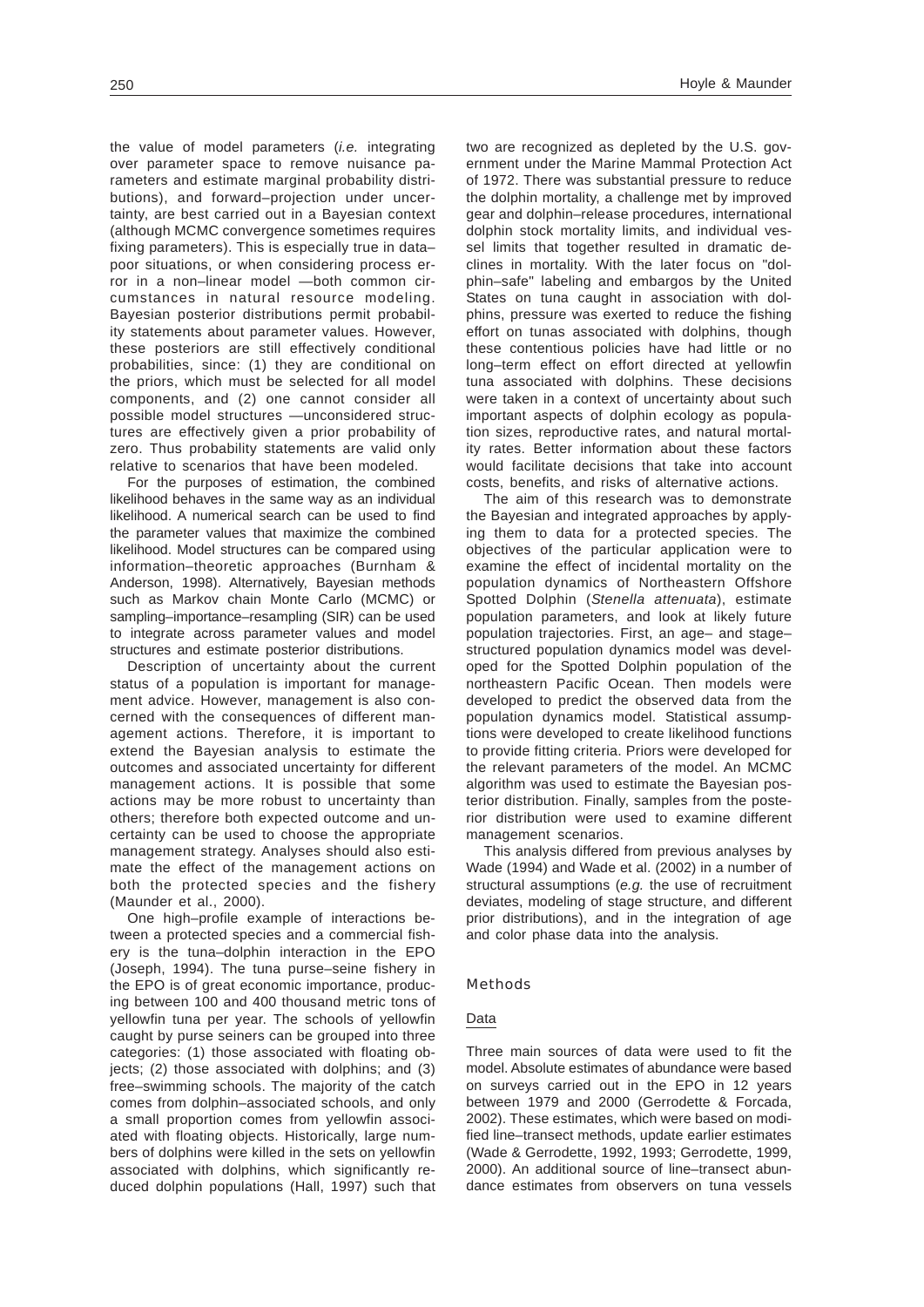the value of model parameters (*i.e.* integrating over parameter space to remove nuisance parameters and estimate marginal probability distributions), and forward–projection under uncertainty, are best carried out in a Bayesian context (although MCMC convergence sometimes requires fixing parameters). This is especially true in data– poor situations, or when considering process error in a non–linear model —both common circumstances in natural resource modeling. Bayesian posterior distributions permit probability statements about parameter values. However, these posteriors are still effectively conditional probabilities, since: (1) they are conditional on the priors, which must be selected for all model components, and (2) one cannot consider all possible model structures —unconsidered structures are effectively given a prior probability of zero. Thus probability statements are valid only relative to scenarios that have been modeled.

For the purposes of estimation, the combined likelihood behaves in the same way as an individual likelihood. A numerical search can be used to find the parameter values that maximize the combined likelihood. Model structures can be compared using information–theoretic approaches (Burnham & Anderson, 1998). Alternatively, Bayesian methods such as Markov chain Monte Carlo (MCMC) or sampling–importance–resampling (SIR) can be used to integrate across parameter values and model structures and estimate posterior distributions.

Description of uncertainty about the current status of a population is important for management advice. However, management is also concerned with the consequences of different management actions. Therefore, it is important to extend the Bayesian analysis to estimate the outcomes and associated uncertainty for different management actions. It is possible that some actions may be more robust to uncertainty than others; therefore both expected outcome and uncertainty can be used to choose the appropriate management strategy. Analyses should also estimate the effect of the management actions on both the protected species and the fishery (Maunder et al., 2000).

One high–profile example of interactions between a protected species and a commercial fishery is the tuna–dolphin interaction in the EPO (Joseph, 1994). The tuna purse–seine fishery in the EPO is of great economic importance, producing between 100 and 400 thousand metric tons of yellowfin tuna per year. The schools of yellowfin caught by purse seiners can be grouped into three categories: (1) those associated with floating objects; (2) those associated with dolphins; and (3) free–swimming schools. The majority of the catch comes from dolphin–associated schools, and only a small proportion comes from yellowfin associated with floating objects. Historically, large numbers of dolphins were killed in the sets on yellowfin associated with dolphins, which significantly reduced dolphin populations (Hall, 1997) such that two are recognized as depleted by the U.S. government under the Marine Mammal Protection Act of 1972. There was substantial pressure to reduce the dolphin mortality, a challenge met by improved gear and dolphin–release procedures, international dolphin stock mortality limits, and individual vessel limits that together resulted in dramatic declines in mortality. With the later focus on "dolphin–safe" labeling and embargos by the United States on tuna caught in association with dolphins, pressure was exerted to reduce the fishing effort on tunas associated with dolphins, though these contentious policies have had little or no long–term effect on effort directed at yellowfin tuna associated with dolphins. These decisions were taken in a context of uncertainty about such important aspects of dolphin ecology as population sizes, reproductive rates, and natural mortality rates. Better information about these factors would facilitate decisions that take into account costs, benefits, and risks of alternative actions.

The aim of this research was to demonstrate the Bayesian and integrated approaches by applying them to data for a protected species. The objectives of the particular application were to examine the effect of incidental mortality on the population dynamics of Northeastern Offshore Spotted Dolphin (*Stenella attenuata*), estimate population parameters, and look at likely future population trajectories. First, an age– and stage– structured population dynamics model was developed for the Spotted Dolphin population of the northeastern Pacific Ocean. Then models were developed to predict the observed data from the population dynamics model. Statistical assumptions were developed to create likelihood functions to provide fitting criteria. Priors were developed for the relevant parameters of the model. An MCMC algorithm was used to estimate the Bayesian posterior distribution. Finally, samples from the posterior distribution were used to examine different management scenarios.

This analysis differed from previous analyses by Wade (1994) and Wade et al. (2002) in a number of structural assumptions (*e.g.* the use of recruitment deviates, modeling of stage structure, and different prior distributions), and in the integration of age and color phase data into the analysis.

## Methods

## Data

Three main sources of data were used to fit the model. Absolute estimates of abundance were based on surveys carried out in the EPO in 12 years between 1979 and 2000 (Gerrodette & Forcada, 2002). These estimates, which were based on modified line–transect methods, update earlier estimates (Wade & Gerrodette, 1992, 1993; Gerrodette, 1999, 2000). An additional source of line–transect abundance estimates from observers on tuna vessels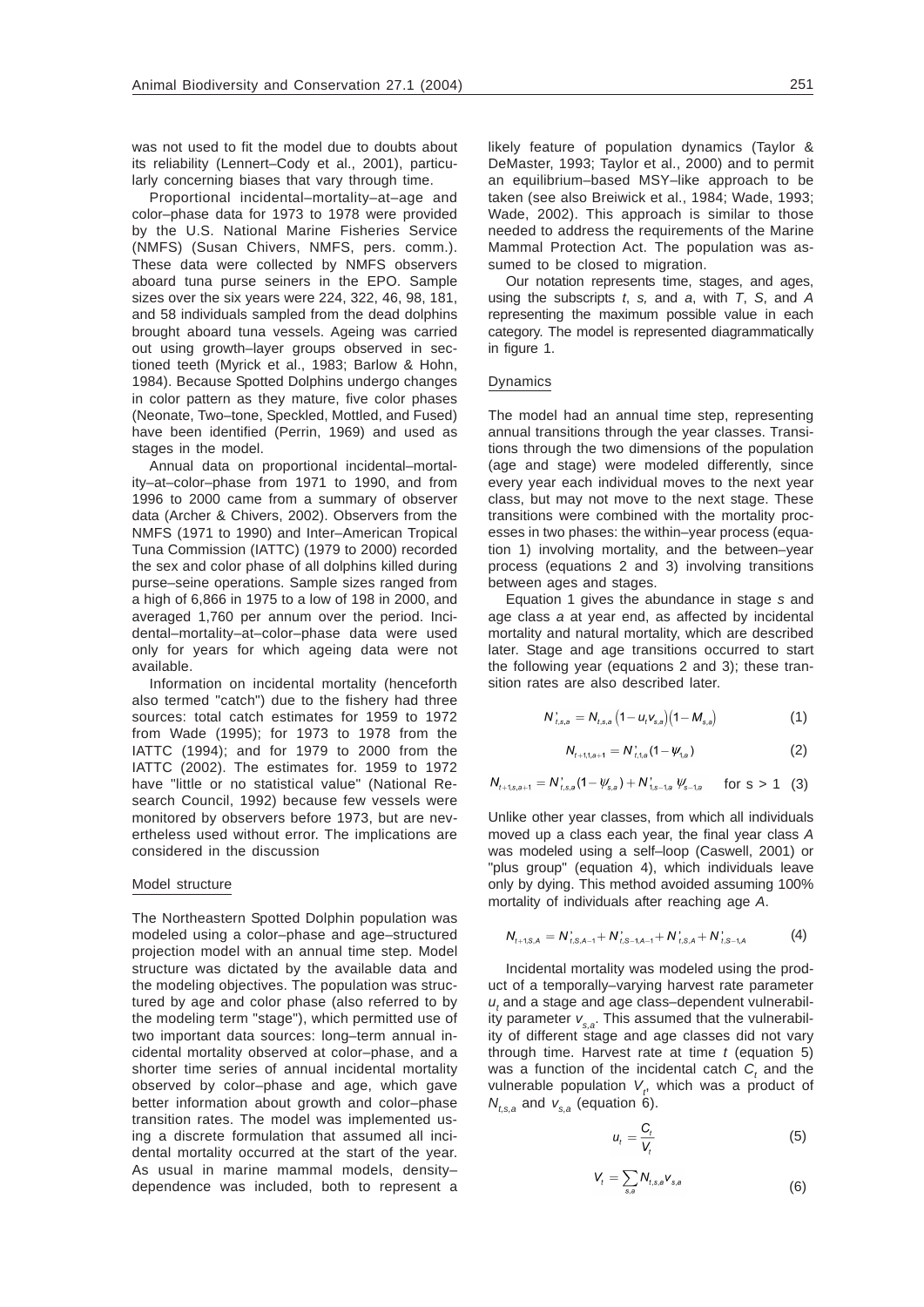was not used to fit the model due to doubts about its reliability (Lennert–Cody et al., 2001), particularly concerning biases that vary through time.

Proportional incidental–mortality–at–age and color–phase data for 1973 to 1978 were provided by the U.S. National Marine Fisheries Service (NMFS) (Susan Chivers, NMFS, pers. comm.). These data were collected by NMFS observers aboard tuna purse seiners in the EPO. Sample sizes over the six years were 224, 322, 46, 98, 181, and 58 individuals sampled from the dead dolphins brought aboard tuna vessels. Ageing was carried out using growth–layer groups observed in sectioned teeth (Myrick et al., 1983; Barlow & Hohn, 1984). Because Spotted Dolphins undergo changes in color pattern as they mature, five color phases (Neonate, Two–tone, Speckled, Mottled, and Fused) have been identified (Perrin, 1969) and used as stages in the model.

Annual data on proportional incidental–mortality–at–color–phase from 1971 to 1990, and from 1996 to 2000 came from a summary of observer data (Archer & Chivers, 2002). Observers from the NMFS (1971 to 1990) and Inter–American Tropical Tuna Commission (IATTC) (1979 to 2000) recorded the sex and color phase of all dolphins killed during purse–seine operations. Sample sizes ranged from a high of 6,866 in 1975 to a low of 198 in 2000, and averaged 1,760 per annum over the period. Incidental–mortality–at–color–phase data were used only for years for which ageing data were not available.

Information on incidental mortality (henceforth also termed "catch") due to the fishery had three sources: total catch estimates for 1959 to 1972 from Wade (1995); for 1973 to 1978 from the IATTC (1994); and for 1979 to 2000 from the IATTC (2002). The estimates for. 1959 to 1972 have "little or no statistical value" (National Research Council, 1992) because few vessels were monitored by observers before 1973, but are nevertheless used without error. The implications are considered in the discussion

### Model structure

The Northeastern Spotted Dolphin population was modeled using a color–phase and age–structured projection model with an annual time step. Model structure was dictated by the available data and the modeling objectives. The population was structured by age and color phase (also referred to by the modeling term "stage"), which permitted use of two important data sources: long–term annual incidental mortality observed at color–phase, and a shorter time series of annual incidental mortality observed by color–phase and age, which gave better information about growth and color–phase transition rates. The model was implemented using a discrete formulation that assumed all incidental mortality occurred at the start of the year. As usual in marine mammal models, density– dependence was included, both to represent a likely feature of population dynamics (Taylor & DeMaster, 1993; Taylor et al., 2000) and to permit an equilibrium–based MSY–like approach to be taken (see also Breiwick et al., 1984; Wade, 1993; Wade, 2002). This approach is similar to those needed to address the requirements of the Marine Mammal Protection Act. The population was assumed to be closed to migration.

Our notation represents time, stages, and ages, using the subscripts *t*, *s,* and *a*, with *T*, *S*, and *A* representing the maximum possible value in each category. The model is represented diagrammatically in figure 1.

## Dynamics

The model had an annual time step, representing annual transitions through the year classes. Transitions through the two dimensions of the population (age and stage) were modeled differently, since every year each individual moves to the next year class, but may not move to the next stage. These transitions were combined with the mortality processes in two phases: the within–year process (equation 1) involving mortality, and the between–year process (equations 2 and 3) involving transitions between ages and stages.

Equation 1 gives the abundance in stage *s* and age class *a* at year end, as affected by incidental mortality and natural mortality, which are described later. Stage and age transitions occurred to start the following year (equations 2 and 3); these transition rates are also described later.

$$
N'_{t,s,a} = N_{t,s,a} \left(1 - u_t v_{s,a}\right) \left(1 - M_{s,a}\right) \tag{1}
$$

$$
N_{t+1,1,a+1} = N_{t,1,a}^{\prime}(1-\psi_{1,a})
$$
 (2)

$$
N_{t+1,s,a+1} = N_{t,s,a}^{\prime} (1 - \psi_{s,a}) + N_{t,s-1,a}^{\prime} \psi_{s-1,a}^{\prime} \quad \text{for s > 1} \quad (3)
$$

Unlike other year classes, from which all individuals moved up a class each year, the final year class *A* was modeled using a self–loop (Caswell, 2001) or "plus group" (equation 4), which individuals leave only by dying. This method avoided assuming 100% mortality of individuals after reaching age *A*.

$$
N_{t+1,S,A} = N_{t,S,A-1}^{'} + N_{t,S-1,A-1}^{'} + N_{t,S,A}^{'} + N_{t,S-1,A}^{'} \tag{4}
$$

Incidental mortality was modeled using the product of a temporally–varying harvest rate parameter  $u_t$  and a stage and age class–dependent vulnerability parameter  $v_{s,a}$ . This assumed that the vulnerability of different stage and age classes did not vary through time. Harvest rate at time *t* (equation 5) was a function of the incidental catch  $C<sub>t</sub>$  and the vulnerable population V<sub>t</sub>, which was a product of  $N_{t,s,a}$  and  $V_{s,a}$  (equation 6).

$$
u_t = \frac{C_t}{V_t} \tag{5}
$$

$$
V_t = \sum_{s,a} N_{t,s,a} V_{s,a}
$$
 (6)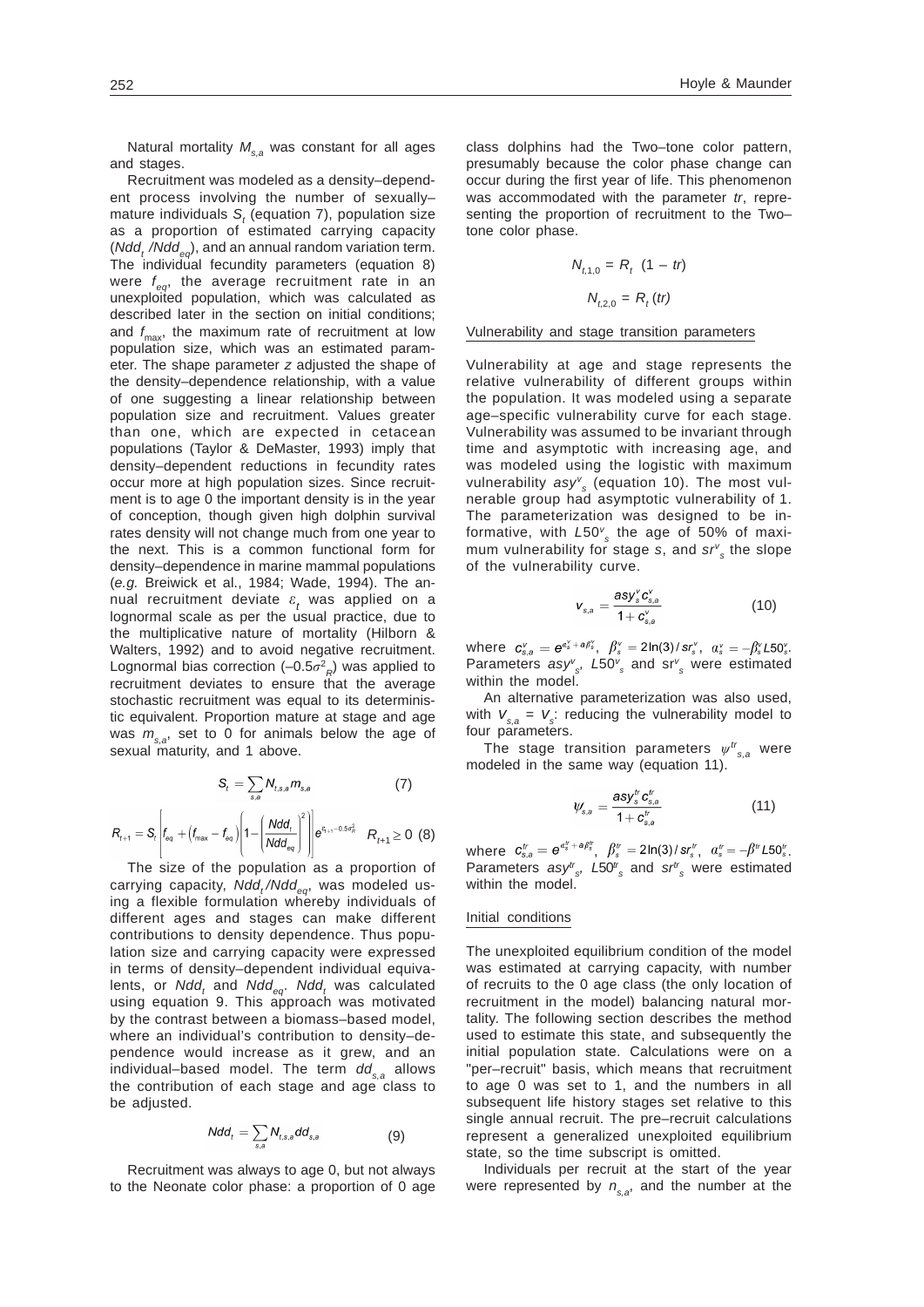Natural mortality  $M_{s,a}$  was constant for all ages and stages.

Recruitment was modeled as a density–dependent process involving the number of sexually– mature individuals *S*<sub>*i*</sub> (equation 7), population size as a proportion of estimated carrying capacity (*Ndd, /Ndd<sub>cs</sub>*), and an annual random variation term. The individual fecundity parameters (equation 8) were *f eq*, the average recruitment rate in an unexploited population, which was calculated as described later in the section on initial conditions; and *f* max, the maximum rate of recruitment at low population size, which was an estimated parameter. The shape parameter *z* adjusted the shape of the density–dependence relationship, with a value of one suggesting a linear relationship between population size and recruitment. Values greater than one, which are expected in cetacean populations (Taylor & DeMaster, 1993) imply that density–dependent reductions in fecundity rates occur more at high population sizes. Since recruitment is to age 0 the important density is in the year of conception, though given high dolphin survival rates density will not change much from one year to the next. This is a common functional form for density–dependence in marine mammal populations (*e.g.* Breiwick et al., 1984; Wade, 1994). The annual recruitment deviate  $\varepsilon$ <sub>t</sub> was applied on a lognormal scale as per the usual practice, due to the multiplicative nature of mortality (Hilborn & Walters, 1992) and to avoid negative recruitment. Lognormal bias correction  $(-0.5\sigma^2_R)$  was applied to recruitment deviates to ensure that the average stochastic recruitment was equal to its deterministic equivalent. Proportion mature at stage and age was  $m_{s,s}$ , set to 0 for animals below the age of sexual maturity, and 1 above.

$$
\mathsf{S}_{t} = \sum_{s,a} N_{t,s,a} m_{s,a} \tag{7}
$$

$$
R_{t+1} = S_t \left| f_{eq} + (f_{\text{max}} - f_{eq}) \left( 1 - \left( \frac{N d d_t}{N d d_{eq}} \right)^2 \right) \right| e^{c_{t+1} - 0.5 \sigma_R^2} \quad R_{t+1} \ge 0 \tag{8}
$$

The size of the population as a proportion of carrying capacity, Ndd,/Ndd<sub>ea</sub>, was modeled using a flexible formulation whereby individuals of different ages and stages can make different contributions to density dependence. Thus population size and carrying capacity were expressed in terms of density–dependent individual equivalents, or *Ndd<sub>t</sub>* and *Ndd<sub>eq</sub>. Ndd<sub>t</sub> wa*s calculated using equation 9. This approach was motivated by the contrast between a biomass–based model, where an individual's contribution to density–dependence would increase as it grew, and an individual–based model. The term  $dd_{s,a}$  allows the contribution of each stage and age class to be adjusted.

$$
Ndd_t = \sum_{s,a} N_{t,s,a} dd_{s,a}
$$
 (9)

Recruitment was always to age 0, but not always to the Neonate color phase: a proportion of 0 age

class dolphins had the Two–tone color pattern, presumably because the color phase change can occur during the first year of life. This phenomenon was accommodated with the parameter *tr*, representing the proportion of recruitment to the Two– tone color phase.

$$
N_{t,1,0} = R_t (1 - tr)
$$

$$
N_{t,2,0} = R_t (tr)
$$

Vulnerability and stage transition parameters

Vulnerability at age and stage represents the relative vulnerability of different groups within the population. It was modeled using a separate age–specific vulnerability curve for each stage. Vulnerability was assumed to be invariant through time and asymptotic with increasing age, and was modeled using the logistic with maximum vulnerability *asyv s* (equation 10). The most vulnerable group had asymptotic vulnerability of 1. The parameterization was designed to be informative, with *L*50*<sup>v</sup> s* the age of 50% of maximum vulnerability for stage *s*, and  $sr$ <sup>*v*</sup><sub>s</sub> the slope of the vulnerability curve.

$$
V_{s,a} = \frac{asy_s^v c_{s,a}^v}{1 + c_{s,a}^v} \tag{10}
$$

where  $c_{s,a}^v = e^{a_s^v + a \beta_s^v}$ ,  $\beta_s^v = 2\ln(3)/sr_s^v$ ,  $a_s^v = -\beta_s^v L 50_s^v$ . Parameters *asyv s, L*50*<sup>v</sup> <sup>s</sup>* and sr*<sup>v</sup> <sup>s</sup>* were estimated within the model.

An alternative parameterization was also used, with  $V_{s,a} = V_s$ : reducing the vulnerability model to four parameters.

The stage transition parameters  $\psi^{tr}_{s,a}$  were modeled in the same way (equation 11).

$$
\psi_{s,a} = \frac{\text{asy}_s^r c_{s,a}^t}{1 + c_{s,a}^t} \tag{11}
$$

where  $c_{s,a}^t = e^{a_s^t + a\beta_s^t}$ ,  $\beta_s^t = 2\ln(3)/sr_s^t$ ,  $a_s^t = -\beta^t L 50_s^t$ . Parameters  $\text{asy}_{s}^{t}$ ,  $L50_{s}^{t}$  and  $\text{sr}_{s}^{t}$  were estimated within the model.

## Initial conditions

The unexploited equilibrium condition of the model was estimated at carrying capacity, with number of recruits to the 0 age class (the only location of recruitment in the model) balancing natural mortality. The following section describes the method used to estimate this state, and subsequently the initial population state. Calculations were on a "per–recruit" basis, which means that recruitment to age 0 was set to 1, and the numbers in all subsequent life history stages set relative to this single annual recruit. The pre–recruit calculations represent a generalized unexploited equilibrium state, so the time subscript is omitted.

Individuals per recruit at the start of the year were represented by  $n_{s,a}$ , and the number at the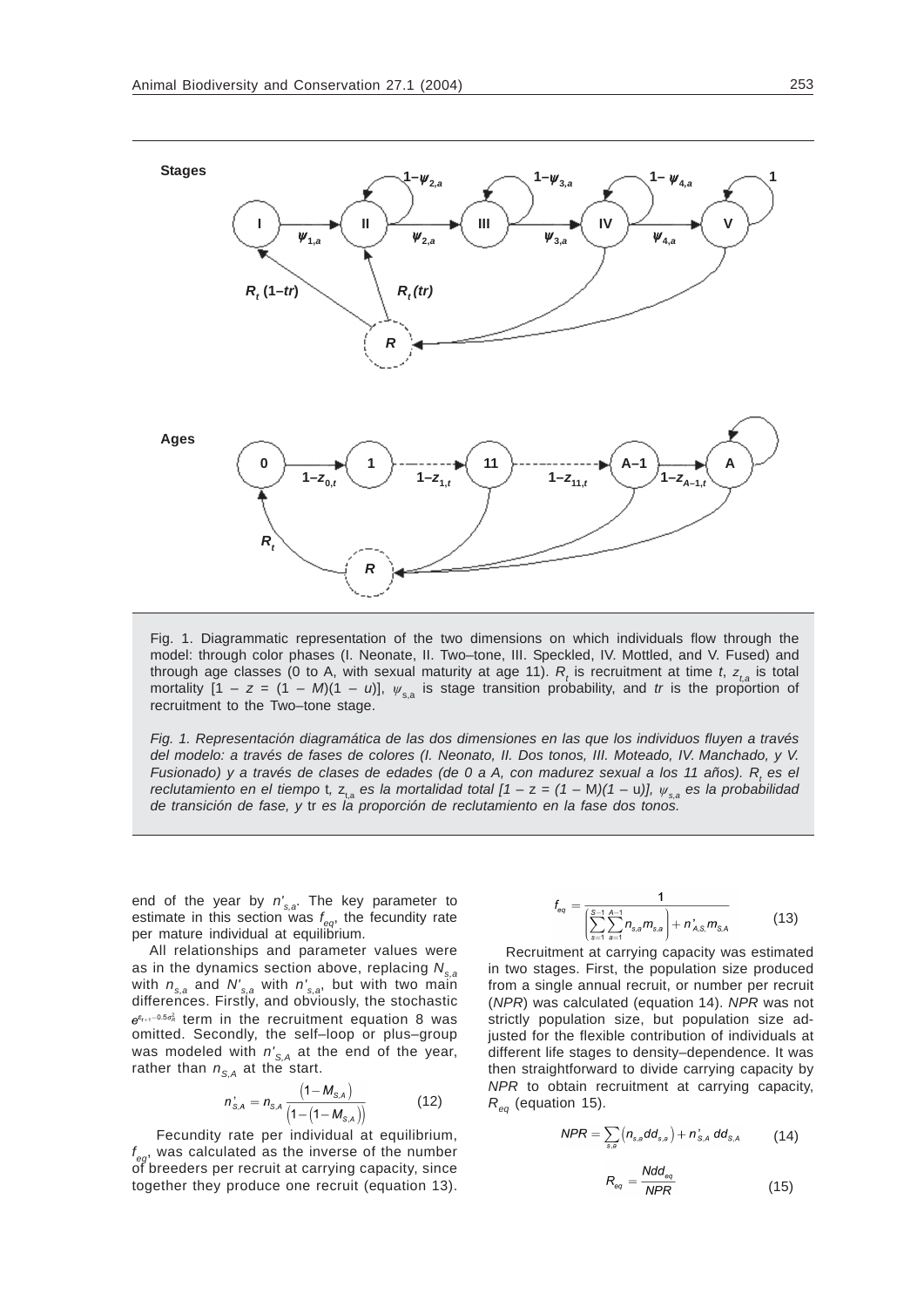

Fig. 1. Diagrammatic representation of the two dimensions on which individuals flow through the model: through color phases (I. Neonate, II. Two–tone, III. Speckled, IV. Mottled, and V. Fused) and through age classes (0 to A, with sexual maturity at age 11).  $R_{_t}$  is recruitment at time *t*,  $z_{_{t,a}}$  is total mortality  $[1 - z = (1 - M)(1 - u)]$ ,  $\psi_{s,a}$  is stage transition probability, and *tr* is the proportion of recruitment to the Two–tone stage.

*Fig. 1. Representación diagramática de las dos dimensiones en las que los individuos fluyen a través del modelo: a través de fases de colores (I. Neonato, II. Dos tonos, III. Moteado, IV. Manchado, y V. Fusionado) y a través de clases de edades (de 0 a A, con madurez sexual a los 11 años). R<sub>t</sub> es el reclutamiento en el tiempo t, z<sub>ta</sub> es la mortalidad total*  $[1 - z = (1 - M)(1 - u)]$ *,*  $\psi_{sa}$  *es la probabilidad de transición de fase, y* tr *es la proporción de reclutamiento en la fase dos tonos.*

end of the year by *n's,a*. The key parameter to estimate in this section was *f eq*, the fecundity rate per mature individual at equilibrium.

All relationships and parameter values were as in the dynamics section above, replacing  $N_{s,a}$ with *ns,a* and *N's,a* with *n's,a*, but with two main differences. Firstly, and obviously, the stochastic  $e^{\epsilon_{t+1}-0.5\sigma_R^2}$  term in the recruitment equation 8 was omitted. Secondly, the self–loop or plus–group was modeled with  $n'_{S,A}$  at the end of the year, rather than  $n_{S,A}$  at the start.

$$
n_{s,A}^{'} = n_{s,A} \frac{(1 - M_{s,A})}{(1 - (1 - M_{s,A}))}
$$
(12)

 Fecundity rate per individual at equilibrium, *f* was calculated as the inverse of the number of breeders per recruit at carrying capacity, since together they produce one recruit (equation 13).

$$
f_{eq} = \frac{1}{\left(\sum_{s=1}^{S-1} \sum_{a=1}^{A-1} n_{s,a} m_{s,a}\right) + n_{A,S}^{\prime} m_{S,A}}
$$
(13)

Recruitment at carrying capacity was estimated in two stages. First, the population size produced from a single annual recruit, or number per recruit (*NPR*) was calculated (equation 14). *NPR* was not strictly population size, but population size adjusted for the flexible contribution of individuals at different life stages to density–dependence. It was then straightforward to divide carrying capacity by *NPR* to obtain recruitment at carrying capacity,  $R_{eq}$  (equation 15).

$$
NPR = \sum_{s,a} \left( n_{s,a} dd_{s,a} \right) + n_{s,A}^{\prime} dd_{s,A} \qquad (14)
$$

$$
R_{eq} = \frac{N d d_{eq}}{N PR} \tag{15}
$$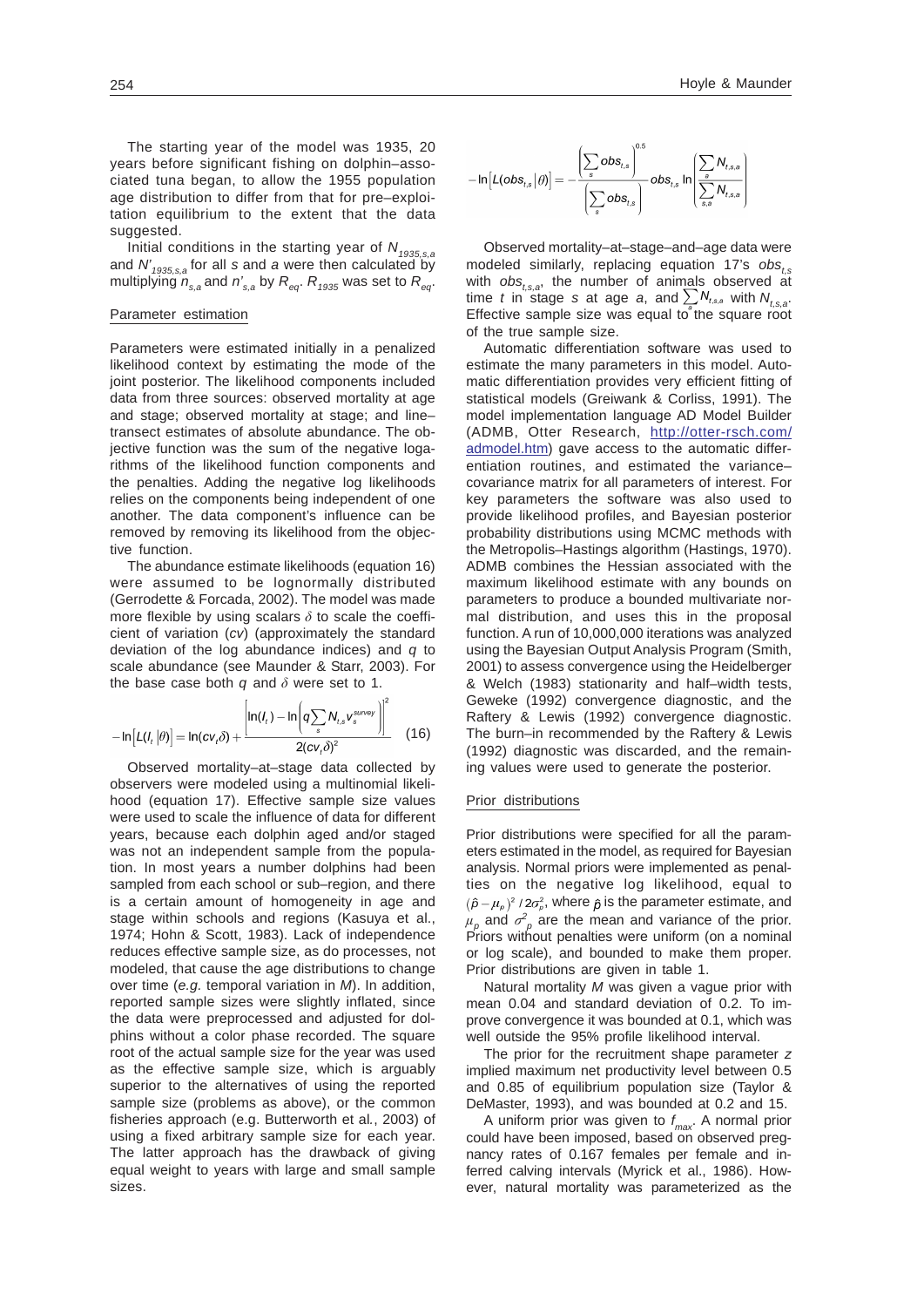The starting year of the model was 1935, 20 years before significant fishing on dolphin–associated tuna began, to allow the 1955 population age distribution to differ from that for pre–exploitation equilibrium to the extent that the data suggested.

Initial conditions in the starting year of  $N_{1935,s,a}$ and *N'1935,s,a* for all *s* and *a* were then calculated by multiplying  $n_{s,a}$  and  $n'_{s,a}$  by  $R_{eq}$ .  $R_{1935}$  was set to  $R_{eq}$ .

# Parameter estimation

Parameters were estimated initially in a penalized likelihood context by estimating the mode of the joint posterior. The likelihood components included data from three sources: observed mortality at age and stage; observed mortality at stage; and line– transect estimates of absolute abundance. The objective function was the sum of the negative logarithms of the likelihood function components and the penalties. Adding the negative log likelihoods relies on the components being independent of one another. The data component's influence can be removed by removing its likelihood from the objective function.

The abundance estimate likelihoods (equation 16) were assumed to be lognormally distributed (Gerrodette & Forcada, 2002). The model was made more flexible by using scalars  $\delta$  to scale the coefficient of variation (*cv*) (approximately the standard deviation of the log abundance indices) and *q* to scale abundance (see Maunder & Starr, 2003). For the base case both  $q$  and  $\delta$  were set to 1.

$$
-\ln[L(I_t|\theta)] = \ln(cv_t\delta) + \frac{\left[\ln(I_t) - \ln\left(q\sum_s N_{t,s}v_s^{\text{survey}}\right)\right]^2}{2(cv_t\delta)^2}
$$
 (16)

Observed mortality–at–stage data collected by observers were modeled using a multinomial likelihood (equation 17). Effective sample size values were used to scale the influence of data for different years, because each dolphin aged and/or staged was not an independent sample from the population. In most years a number dolphins had been sampled from each school or sub–region, and there is a certain amount of homogeneity in age and stage within schools and regions (Kasuya et al., 1974; Hohn & Scott, 1983). Lack of independence reduces effective sample size, as do processes, not modeled, that cause the age distributions to change over time (*e.g.* temporal variation in *M*). In addition, reported sample sizes were slightly inflated, since the data were preprocessed and adjusted for dolphins without a color phase recorded. The square root of the actual sample size for the year was used as the effective sample size, which is arguably superior to the alternatives of using the reported sample size (problems as above), or the common fisheries approach (e.g. Butterworth et al*.*, 2003) of using a fixed arbitrary sample size for each year. The latter approach has the drawback of giving equal weight to years with large and small sample sizes.

$$
-\ln \Bigl[L(\mathit{obs}_{t,s}|\theta)\Bigr]=-\dfrac{\left(\displaystyle\sum_s\mathit{obs}_{t,s}\right)^{0.5}}{\left(\displaystyle\sum_s\mathit{obs}_{t,s}\right)}\mathit{obs}_{t,s}\ln \left(\dfrac{\displaystyle\sum_s N_{t,s,a}}{\displaystyle\sum_{s,a} N_{t,s,a}}\right)
$$

Observed mortality–at–stage–and–age data were modeled similarly, replacing equation 17's obs. with  $obs_{t,s,a}$ , the number of animals observed at time *t* in stage *s* at age *a*, and  $\sum N_{t,s,a}$  with  $N_{t,s,a}$ . Effective sample size was equal to the square root of the true sample size.

Automatic differentiation software was used to estimate the many parameters in this model. Automatic differentiation provides very efficient fitting of statistical models (Greiwank & Corliss, 1991). The model implementation language AD Model Builder (ADMB, Otter Research, [http://otter-rsch.com/](http://otter-rsch.com/admodel.htm) [admodel.htm\)](http://otter-rsch.com/admodel.htm) gave access to the automatic differentiation routines, and estimated the variance– covariance matrix for all parameters of interest. For key parameters the software was also used to provide likelihood profiles, and Bayesian posterior probability distributions using MCMC methods with the Metropolis–Hastings algorithm (Hastings, 1970). ADMB combines the Hessian associated with the maximum likelihood estimate with any bounds on parameters to produce a bounded multivariate normal distribution, and uses this in the proposal function. A run of 10,000,000 iterations was analyzed using the Bayesian Output Analysis Program (Smith, 2001) to assess convergence using the Heidelberger & Welch (1983) stationarity and half–width tests, Geweke (1992) convergence diagnostic, and the Raftery & Lewis (1992) convergence diagnostic. The burn–in recommended by the Raftery & Lewis (1992) diagnostic was discarded, and the remaining values were used to generate the posterior.

#### Prior distributions

Prior distributions were specified for all the parameters estimated in the model, as required for Bayesian analysis. Normal priors were implemented as penalties on the negative log likelihood, equal to  $(\hat{\rho}-\mu_{\rho})^2/2\sigma_{\rho}^2$ , where  $\hat{\rho}$  is the parameter estimate, and  $\mu_{\rho}$  and  $\sigma_{\rho}^2$  are the mean and variance of the prior. Priors without penalties were uniform (on a nominal or log scale), and bounded to make them proper. Prior distributions are given in table 1.

Natural mortality *M* was given a vague prior with mean 0.04 and standard deviation of 0.2. To improve convergence it was bounded at 0.1, which was well outside the 95% profile likelihood interval.

The prior for the recruitment shape parameter *z* implied maximum net productivity level between 0.5 and 0.85 of equilibrium population size (Taylor & DeMaster, 1993), and was bounded at 0.2 and 15.

A uniform prior was given to *f max*. A normal prior could have been imposed, based on observed pregnancy rates of 0.167 females per female and inferred calving intervals (Myrick et al., 1986). However, natural mortality was parameterized as the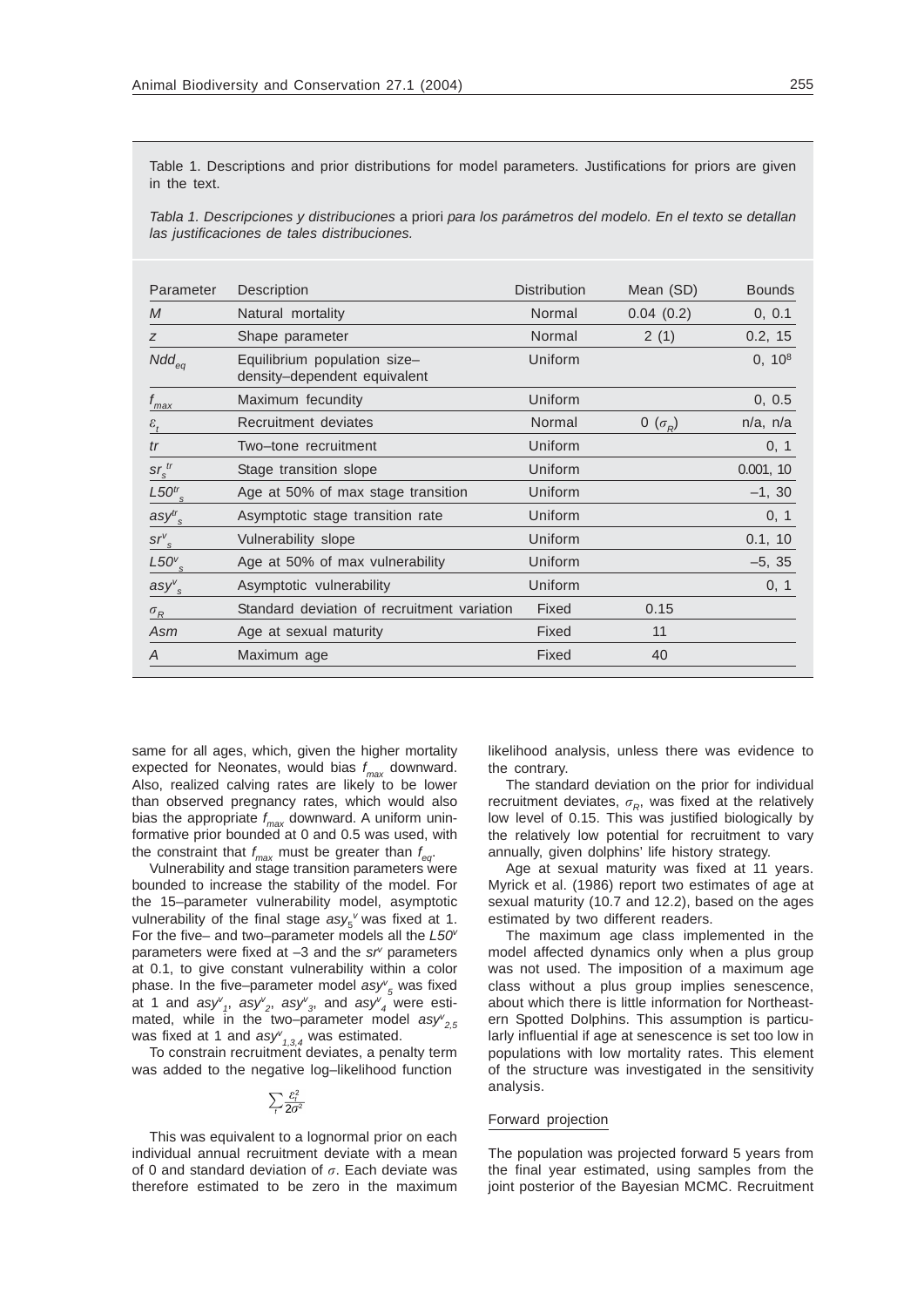Table 1. Descriptions and prior distributions for model parameters. Justifications for priors are given in the text.

*Tabla 1. Descripciones y distribuciones* a priori *para los parámetros del modelo. En el texto se detallan las justificaciones de tales distribuciones.*

| Parameter                | Description                                                  | <b>Distribution</b> | Mean (SD)      | <b>Bounds</b> |
|--------------------------|--------------------------------------------------------------|---------------------|----------------|---------------|
| $\mathcal{M}$            | Natural mortality                                            | Normal              | 0.04(0.2)      | 0, 0.1        |
| Z                        | Shape parameter                                              | Normal              | 2(1)           | 0.2, 15       |
| $Ndd_{eq}$               | Equilibrium population size-<br>density-dependent equivalent | Uniform             |                | $0, 10^8$     |
| $f_{max}$                | Maximum fecundity                                            | Uniform             |                | 0, 0.5        |
| $\varepsilon_{t}$        | Recruitment deviates                                         | Normal              | 0 $(\sigma_R)$ | $n/a$ , $n/a$ |
| tr                       | Two-tone recruitment                                         | Uniform             |                | 0, 1          |
| $\frac{sr_s^{tr}}{s}$    | Stage transition slope                                       | Uniform             |                | 0.001, 10     |
| $L50tr$ s                | Age at 50% of max stage transition                           | Uniform             |                | $-1, 30$      |
| $\text{asy}^{tr}$        | Asymptotic stage transition rate                             | Uniform             |                | 0, 1          |
| $\mathit{srv}_s$         | Vulnerability slope                                          | Uniform             |                | 0.1, 10       |
| $L50^{\nu}$ <sub>s</sub> | Age at 50% of max vulnerability                              | Uniform             |                | $-5, 35$      |
| $asy^v_s$                | Asymptotic vulnerability                                     | Uniform             |                | 0, 1          |
| $\sigma_R$               | Standard deviation of recruitment variation                  | Fixed               | 0.15           |               |
| Asm                      | Age at sexual maturity                                       | Fixed               | 11             |               |
| A                        | Maximum age                                                  | Fixed               | 40             |               |

same for all ages, which, given the higher mortality expected for Neonates, would bias *f max* downward. Also, realized calving rates are likely to be lower than observed pregnancy rates, which would also bias the appropriate *f max* downward. A uniform uninformative prior bounded at 0 and 0.5 was used, with the constraint that *f max* must be greater than *f eq*.

Vulnerability and stage transition parameters were bounded to increase the stability of the model. For the 15–parameter vulnerability model, asymptotic vulnerability of the final stage  $\text{asy}_{5}$ <sup>v</sup> was fixed at 1. For the five– and two–parameter models all the *L50v* parameters were fixed at -3 and the sr<sup>y</sup> parameters at 0.1, to give constant vulnerability within a color phase. In the five–parameter model *asyv <sup>5</sup>* was fixed at 1 and *asyv 1*, *asyv 2*, *asyv 3*, and *asyv 4* were estimated, while in the two–parameter model  $\textit{asy}^{\nu}_{2,5}$ was fixed at 1 and  $\textit{asyv}_{1,3,4}$  was estimated.

To constrain recruitment deviates, a penalty term was added to the negative log–likelihood function

$$
\sum_{t} \frac{\varepsilon_t^2}{2\sigma^2}
$$

This was equivalent to a lognormal prior on each individual annual recruitment deviate with a mean of 0 and standard deviation of  $\sigma$ . Each deviate was therefore estimated to be zero in the maximum

likelihood analysis, unless there was evidence to the contrary.

The standard deviation on the prior for individual recruitment deviates,  $\sigma_{R}$ , was fixed at the relatively low level of 0.15. This was justified biologically by the relatively low potential for recruitment to vary annually, given dolphins' life history strategy.

Age at sexual maturity was fixed at 11 years. Myrick et al. (1986) report two estimates of age at sexual maturity (10.7 and 12.2), based on the ages estimated by two different readers.

The maximum age class implemented in the model affected dynamics only when a plus group was not used. The imposition of a maximum age class without a plus group implies senescence, about which there is little information for Northeastern Spotted Dolphins. This assumption is particularly influential if age at senescence is set too low in populations with low mortality rates. This element of the structure was investigated in the sensitivity analysis.

## Forward projection

The population was projected forward 5 years from the final year estimated, using samples from the joint posterior of the Bayesian MCMC. Recruitment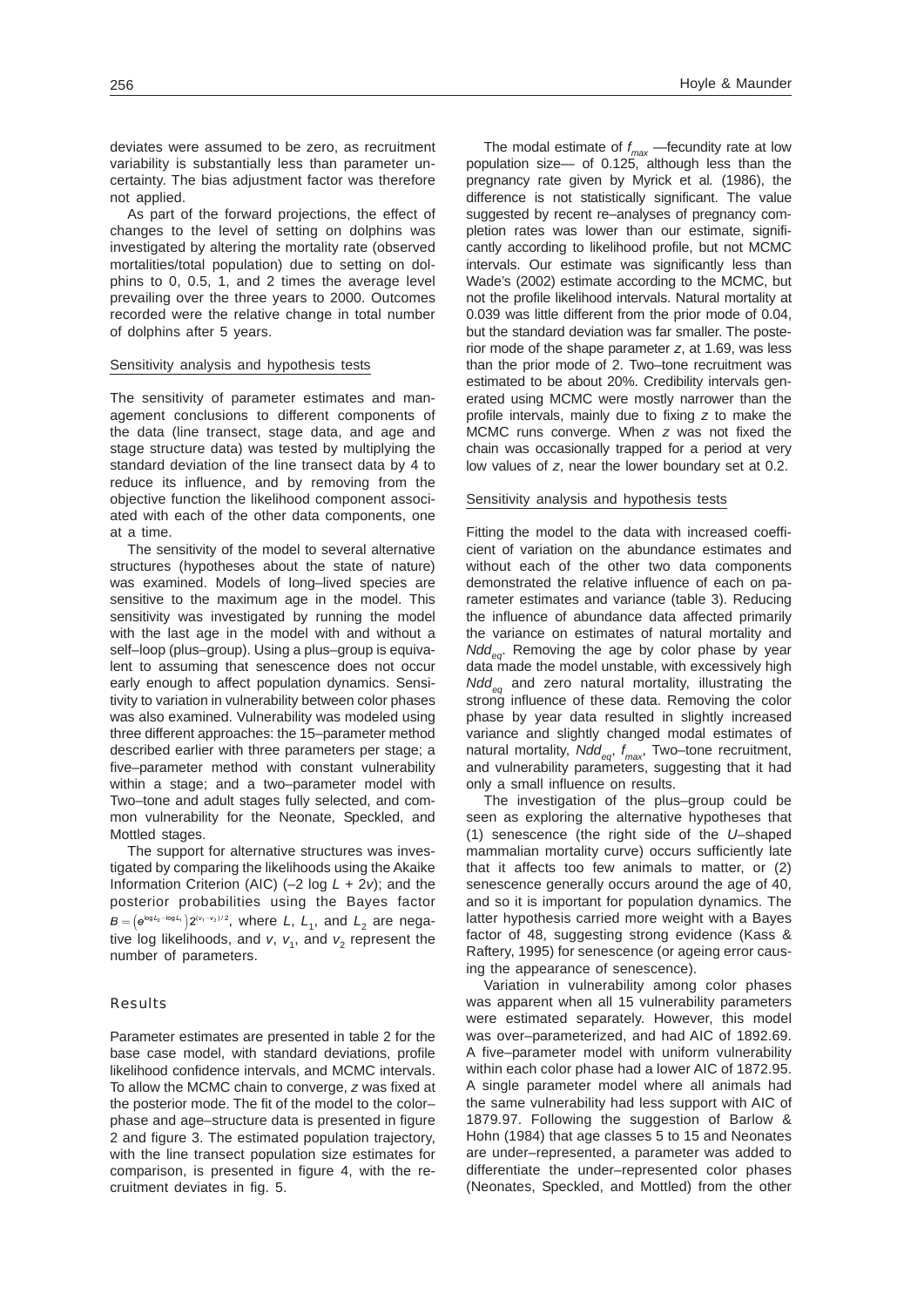deviates were assumed to be zero, as recruitment variability is substantially less than parameter uncertainty. The bias adjustment factor was therefore not applied.

As part of the forward projections, the effect of changes to the level of setting on dolphins was investigated by altering the mortality rate (observed mortalities/total population) due to setting on dolphins to 0, 0.5, 1, and 2 times the average level prevailing over the three years to 2000. Outcomes recorded were the relative change in total number of dolphins after 5 years.

## Sensitivity analysis and hypothesis tests

The sensitivity of parameter estimates and management conclusions to different components of the data (line transect, stage data, and age and stage structure data) was tested by multiplying the standard deviation of the line transect data by 4 to reduce its influence, and by removing from the objective function the likelihood component associated with each of the other data components, one at a time.

The sensitivity of the model to several alternative structures (hypotheses about the state of nature) was examined. Models of long–lived species are sensitive to the maximum age in the model. This sensitivity was investigated by running the model with the last age in the model with and without a self–loop (plus–group). Using a plus–group is equivalent to assuming that senescence does not occur early enough to affect population dynamics. Sensitivity to variation in vulnerability between color phases was also examined. Vulnerability was modeled using three different approaches: the 15–parameter method described earlier with three parameters per stage; a five–parameter method with constant vulnerability within a stage; and a two–parameter model with Two–tone and adult stages fully selected, and common vulnerability for the Neonate, Speckled, and Mottled stages.

The support for alternative structures was investigated by comparing the likelihoods using the Akaike Information Criterion (AIC) (–2 log *L* + 2*v*); and the posterior probabilities using the Bayes factor  $B = (e^{\log L_2 - \log L_1}) 2^{(\nu_1 - \nu_2)/2}$ , where *L*, *L*<sub>1</sub>, and *L*<sub>2</sub> are negative log likelihoods, and  $v$ ,  $v_1$ , and  $v_2$  represent the number of parameters.

### Results

Parameter estimates are presented in table 2 for the base case model, with standard deviations, profile likelihood confidence intervals, and MCMC intervals. To allow the MCMC chain to converge, *z* was fixed at the posterior mode. The fit of the model to the color– phase and age–structure data is presented in figure 2 and figure 3. The estimated population trajectory, with the line transect population size estimates for comparison, is presented in figure 4, with the recruitment deviates in fig. 5.

The modal estimate of *f max* —fecundity rate at low population size— of 0.125, although less than the pregnancy rate given by Myrick et al*.* (1986), the difference is not statistically significant. The value suggested by recent re–analyses of pregnancy completion rates was lower than our estimate, significantly according to likelihood profile, but not MCMC intervals. Our estimate was significantly less than Wade's (2002) estimate according to the MCMC, but not the profile likelihood intervals. Natural mortality at 0.039 was little different from the prior mode of 0.04, but the standard deviation was far smaller. The posterior mode of the shape parameter *z*, at 1.69, was less than the prior mode of 2. Two–tone recruitment was estimated to be about 20%. Credibility intervals generated using MCMC were mostly narrower than the profile intervals, mainly due to fixing *z* to make the MCMC runs converge. When *z* was not fixed the chain was occasionally trapped for a period at very low values of *z*, near the lower boundary set at 0.2.

## Sensitivity analysis and hypothesis tests

Fitting the model to the data with increased coefficient of variation on the abundance estimates and without each of the other two data components demonstrated the relative influence of each on parameter estimates and variance (table 3). Reducing the influence of abundance data affected primarily the variance on estimates of natural mortality and *Ndd<sub>ea</sub>*. Removing the age by color phase by year data made the model unstable, with excessively high *Nddeq* and zero natural mortality, illustrating the strong influence of these data. Removing the color phase by year data resulted in slightly increased variance and slightly changed modal estimates of natural mortality, *Ndd<sub>eq</sub>, f<sub>max</sub>*, Two–tone recruitment, and vulnerability parameters, suggesting that it had only a small influence on results.

The investigation of the plus–group could be seen as exploring the alternative hypotheses that (1) senescence (the right side of the *U*–shaped mammalian mortality curve) occurs sufficiently late that it affects too few animals to matter, or (2) senescence generally occurs around the age of 40, and so it is important for population dynamics. The latter hypothesis carried more weight with a Bayes factor of 48, suggesting strong evidence (Kass & Raftery, 1995) for senescence (or ageing error causing the appearance of senescence).

Variation in vulnerability among color phases was apparent when all 15 vulnerability parameters were estimated separately. However, this model was over–parameterized, and had AIC of 1892.69. A five–parameter model with uniform vulnerability within each color phase had a lower AIC of 1872.95. A single parameter model where all animals had the same vulnerability had less support with AIC of 1879.97. Following the suggestion of Barlow & Hohn (1984) that age classes 5 to 15 and Neonates are under–represented, a parameter was added to differentiate the under–represented color phases (Neonates, Speckled, and Mottled) from the other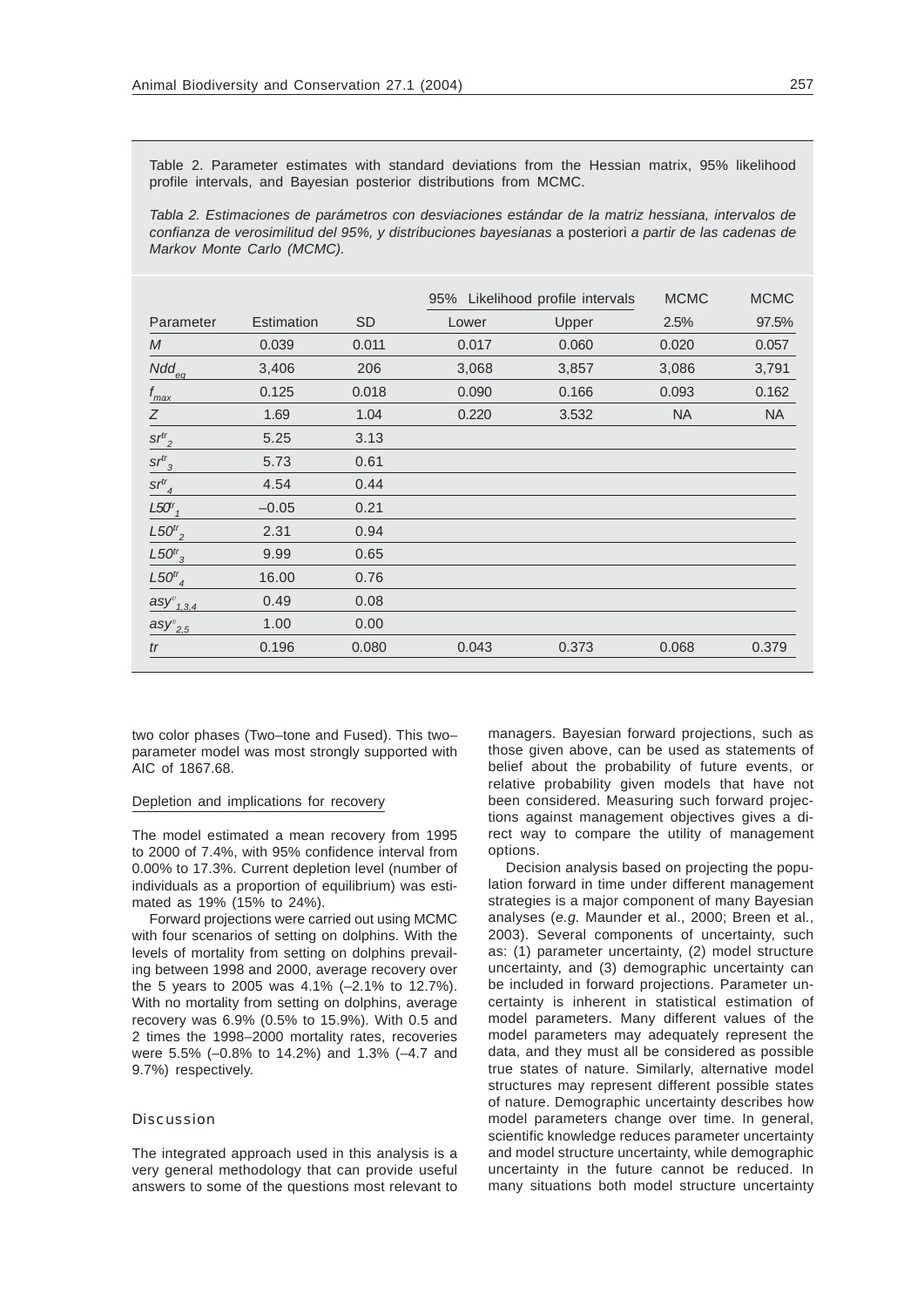Table 2. Parameter estimates with standard deviations from the Hessian matrix, 95% likelihood profile intervals, and Bayesian posterior distributions from MCMC.

*Tabla 2. Estimaciones de parámetros con desviaciones estándar de la matriz hessiana, intervalos de confianza de verosimilitud del 95%, y distribuciones bayesianas* a posteriori *a partir de las cadenas de Markov Monte Carlo (MCMC).*

|                         |            |           |       | 95% Likelihood profile intervals | <b>MCMC</b> | <b>MCMC</b> |
|-------------------------|------------|-----------|-------|----------------------------------|-------------|-------------|
| Parameter               | Estimation | <b>SD</b> | Lower | Upper                            | 2.5%        | 97.5%       |
| M                       | 0.039      | 0.011     | 0.017 | 0.060                            | 0.020       | 0.057       |
| $Ndd_{eq}$              | 3,406      | 206       | 3,068 | 3,857                            | 3,086       | 3,791       |
| $f_{\rm max}$           | 0.125      | 0.018     | 0.090 | 0.166                            | 0.093       | 0.162       |
| Ζ                       | 1.69       | 1.04      | 0.220 | 3.532                            | <b>NA</b>   | <b>NA</b>   |
| $sr^{tr}_{2}$           | 5.25       | 3.13      |       |                                  |             |             |
| $sr^{tr}$ <sub>3</sub>  | 5.73       | 0.61      |       |                                  |             |             |
| $sr^{tr}$ <sub>4</sub>  | 4.54       | 0.44      |       |                                  |             |             |
| L50 <sup>r</sup>        | $-0.05$    | 0.21      |       |                                  |             |             |
| $L50^{tr}$              | 2.31       | 0.94      |       |                                  |             |             |
| $L50^{tr}$ <sub>3</sub> | 9.99       | 0.65      |       |                                  |             |             |
| $L50^{tr}$ <sub>4</sub> | 16.00      | 0.76      |       |                                  |             |             |
| $\text{asy}^v_{1,3,4}$  | 0.49       | 0.08      |       |                                  |             |             |
| $\text{asy}^v_{2,5}$    | 1.00       | 0.00      |       |                                  |             |             |
| tr                      | 0.196      | 0.080     | 0.043 | 0.373                            | 0.068       | 0.379       |

two color phases (Two–tone and Fused). This two– parameter model was most strongly supported with AIC of 1867.68.

## Depletion and implications for recovery

The model estimated a mean recovery from 1995 to 2000 of 7.4%, with 95% confidence interval from 0.00% to 17.3%. Current depletion level (number of individuals as a proportion of equilibrium) was estimated as 19% (15% to 24%).

Forward projections were carried out using MCMC with four scenarios of setting on dolphins. With the levels of mortality from setting on dolphins prevailing between 1998 and 2000, average recovery over the 5 years to 2005 was 4.1% (–2.1% to 12.7%). With no mortality from setting on dolphins, average recovery was 6.9% (0.5% to 15.9%). With 0.5 and 2 times the 1998–2000 mortality rates, recoveries were 5.5% (–0.8% to 14.2%) and 1.3% (–4.7 and 9.7%) respectively.

# Discussion

The integrated approach used in this analysis is a very general methodology that can provide useful answers to some of the questions most relevant to managers. Bayesian forward projections, such as those given above, can be used as statements of belief about the probability of future events, or relative probability given models that have not been considered. Measuring such forward projections against management objectives gives a direct way to compare the utility of management options.

Decision analysis based on projecting the population forward in time under different management strategies is a major component of many Bayesian analyses (*e.g.* Maunder et al., 2000; Breen et al., 2003). Several components of uncertainty, such as: (1) parameter uncertainty, (2) model structure uncertainty, and (3) demographic uncertainty can be included in forward projections. Parameter uncertainty is inherent in statistical estimation of model parameters. Many different values of the model parameters may adequately represent the data, and they must all be considered as possible true states of nature. Similarly, alternative model structures may represent different possible states of nature. Demographic uncertainty describes how model parameters change over time. In general, scientific knowledge reduces parameter uncertainty and model structure uncertainty, while demographic uncertainty in the future cannot be reduced. In many situations both model structure uncertainty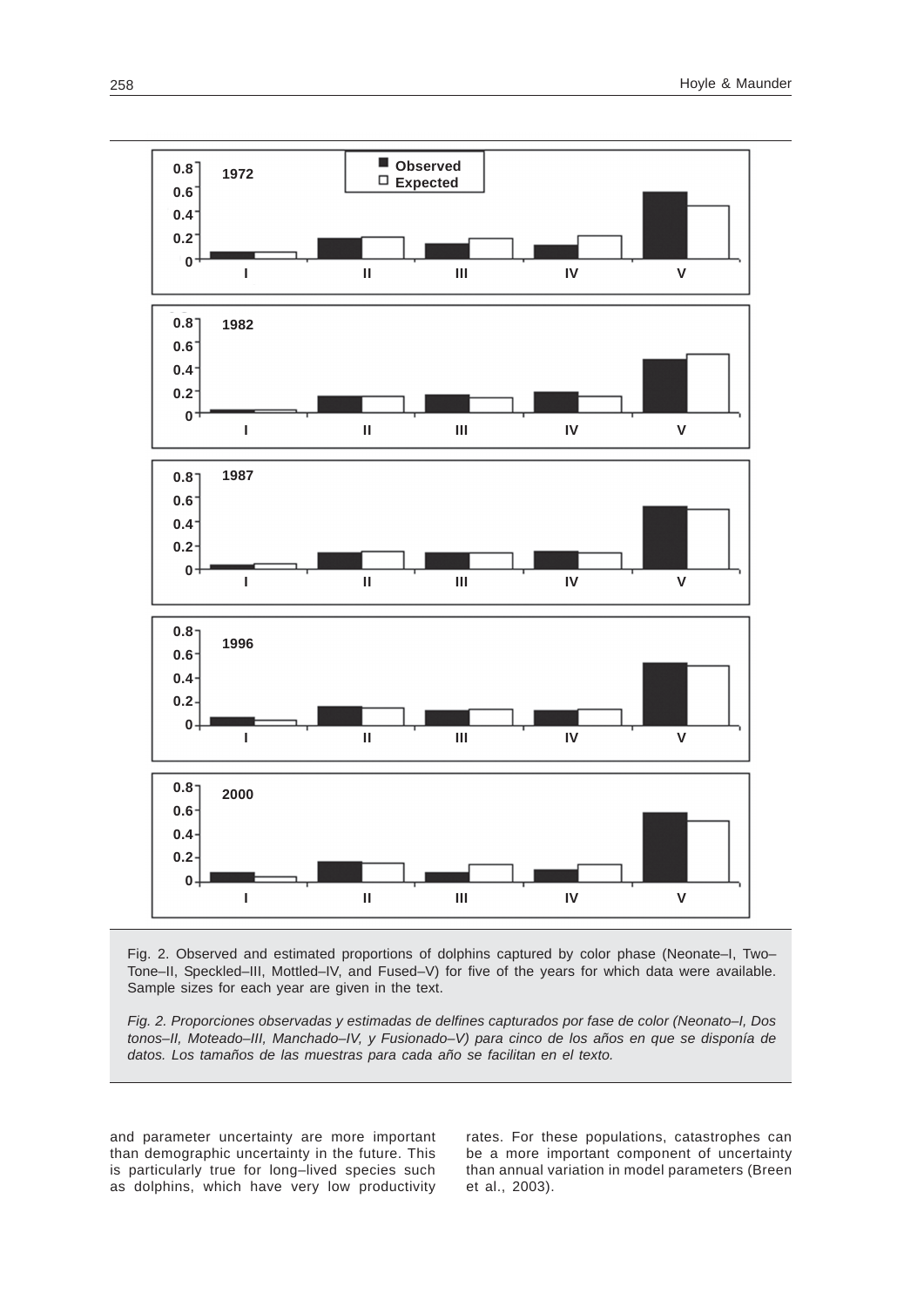

Fig. 2. Observed and estimated proportions of dolphins captured by color phase (Neonate–I, Two– Tone–II, Speckled–III, Mottled–IV, and Fused–V) for five of the years for which data were available. Sample sizes for each year are given in the text.

*Fig. 2. Proporciones observadas y estimadas de delfines capturados por fase de color (Neonato–I, Dos tonos–II, Moteado–III, Manchado–IV, y Fusionado–V) para cinco de los años en que se disponía de datos. Los tamaños de las muestras para cada año se facilitan en el texto.*

and parameter uncertainty are more important than demographic uncertainty in the future. This is particularly true for long–lived species such as dolphins, which have very low productivity rates. For these populations, catastrophes can be a more important component of uncertainty than annual variation in model parameters (Breen et al., 2003).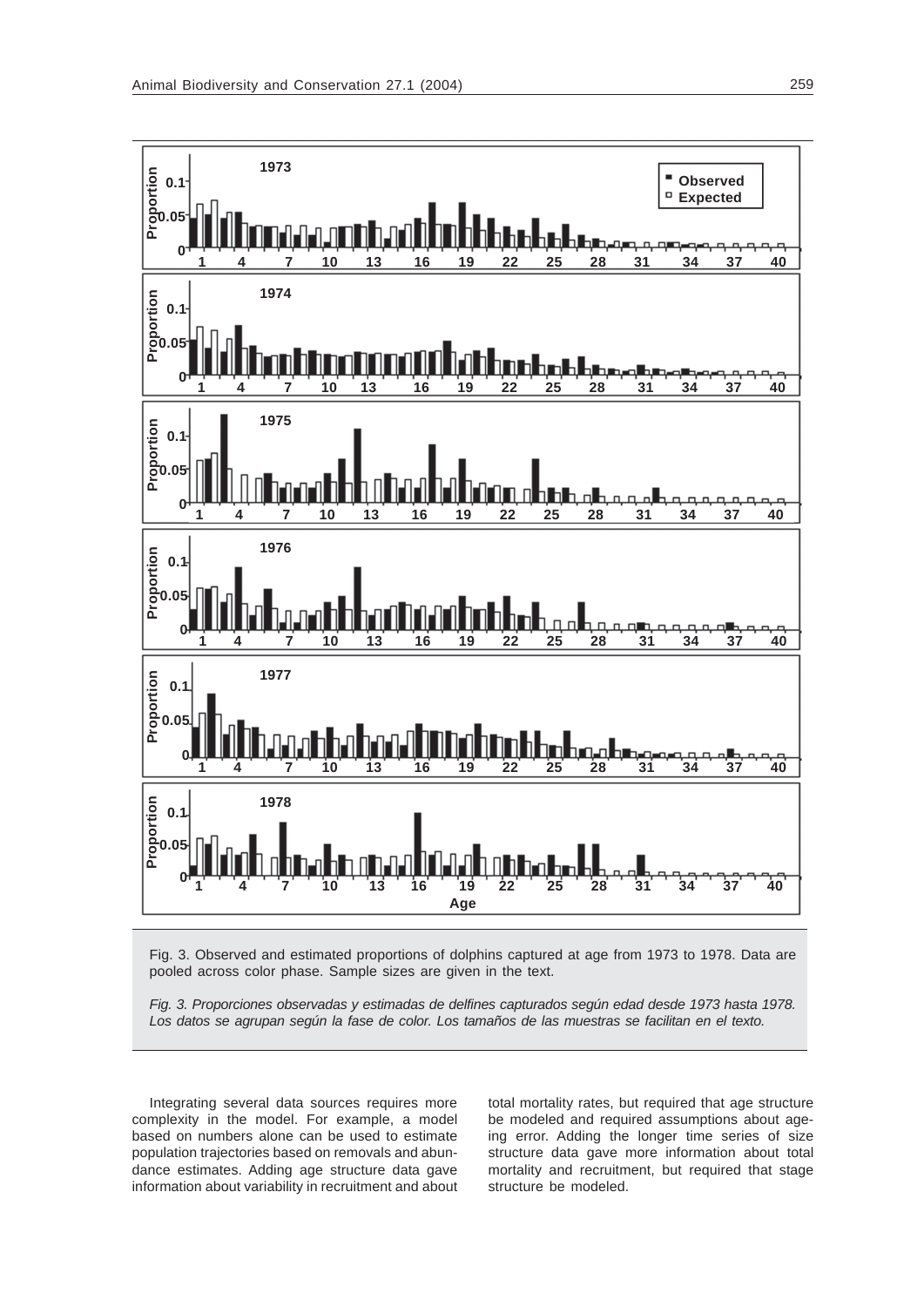

Fig. 3. Observed and estimated proportions of dolphins captured at age from 1973 to 1978. Data are pooled across color phase. Sample sizes are given in the text.

*Fig. 3. Proporciones observadas y estimadas de delfines capturados según edad desde 1973 hasta 1978. Los datos se agrupan según la fase de color. Los tamaños de las muestras se facilitan en el texto.*

Integrating several data sources requires more complexity in the model. For example, a model based on numbers alone can be used to estimate population trajectories based on removals and abundance estimates. Adding age structure data gave information about variability in recruitment and about total mortality rates, but required that age structure be modeled and required assumptions about ageing error. Adding the longer time series of size structure data gave more information about total mortality and recruitment, but required that stage structure be modeled.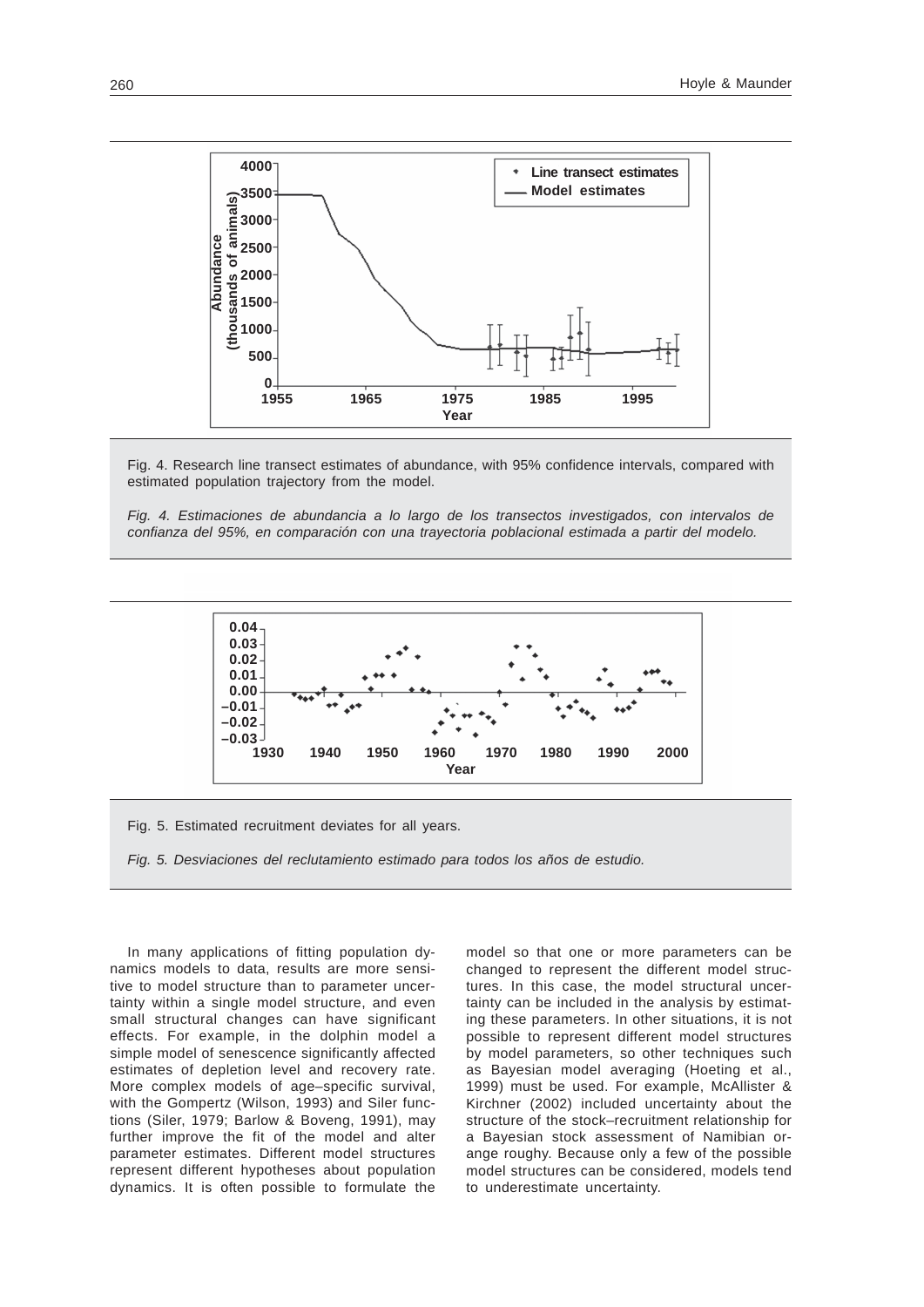

Fig. 4. Research line transect estimates of abundance, with 95% confidence intervals, compared with estimated population trajectory from the model.

*Fig. 4. Estimaciones de abundancia a lo largo de los transectos investigados, con intervalos de confianza del 95%, en comparación con una trayectoria poblacional estimada a partir del modelo.*



Fig. 5. Estimated recruitment deviates for all years.



In many applications of fitting population dynamics models to data, results are more sensitive to model structure than to parameter uncertainty within a single model structure, and even small structural changes can have significant effects. For example, in the dolphin model a simple model of senescence significantly affected estimates of depletion level and recovery rate. More complex models of age–specific survival, with the Gompertz (Wilson, 1993) and Siler functions (Siler, 1979; Barlow & Boveng, 1991), may further improve the fit of the model and alter parameter estimates. Different model structures represent different hypotheses about population dynamics. It is often possible to formulate the

model so that one or more parameters can be changed to represent the different model structures. In this case, the model structural uncertainty can be included in the analysis by estimating these parameters. In other situations, it is not possible to represent different model structures by model parameters, so other techniques such as Bayesian model averaging (Hoeting et al., 1999) must be used. For example, McAllister & Kirchner (2002) included uncertainty about the structure of the stock–recruitment relationship for a Bayesian stock assessment of Namibian orange roughy. Because only a few of the possible model structures can be considered, models tend to underestimate uncertainty.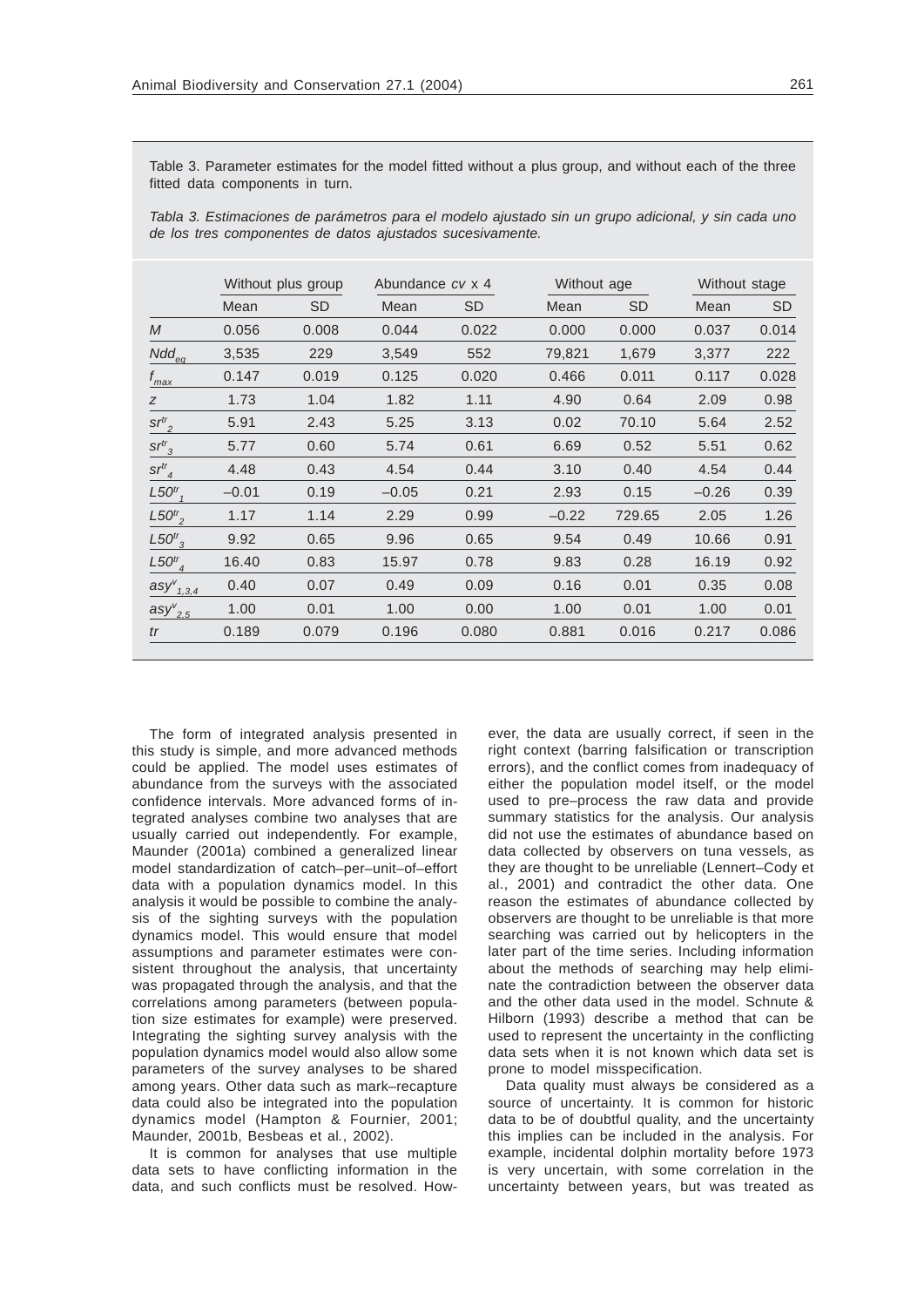Table 3. Parameter estimates for the model fitted without a plus group, and without each of the three fitted data components in turn.

*Tabla 3. Estimaciones de parámetros para el modelo ajustado sin un grupo adicional, y sin cada uno de los tres componentes de datos ajustados sucesivamente.*

|                                      | Without plus group |           | Abundance cv x 4 |           | Without age |           | Without stage |           |
|--------------------------------------|--------------------|-----------|------------------|-----------|-------------|-----------|---------------|-----------|
|                                      | Mean               | <b>SD</b> | Mean             | <b>SD</b> | Mean        | <b>SD</b> | Mean          | <b>SD</b> |
| M                                    | 0.056              | 0.008     | 0.044            | 0.022     | 0.000       | 0.000     | 0.037         | 0.014     |
| $Ndd_{eq}$                           | 3,535              | 229       | 3,549            | 552       | 79,821      | 1,679     | 3,377         | 222       |
| $f_{\text{max}}$                     | 0.147              | 0.019     | 0.125            | 0.020     | 0.466       | 0.011     | 0.117         | 0.028     |
| Ζ                                    | 1.73               | 1.04      | 1.82             | 1.11      | 4.90        | 0.64      | 2.09          | 0.98      |
| $sr^{tr}$ <sub>2</sub>               | 5.91               | 2.43      | 5.25             | 3.13      | 0.02        | 70.10     | 5.64          | 2.52      |
| $sr^{tr}$ <sub>3</sub>               | 5.77               | 0.60      | 5.74             | 0.61      | 6.69        | 0.52      | 5.51          | 0.62      |
| $sr^{tr}$ <sub>4</sub>               | 4.48               | 0.43      | 4.54             | 0.44      | 3.10        | 0.40      | 4.54          | 0.44      |
| L50 <sup>tr</sup>                    | $-0.01$            | 0.19      | $-0.05$          | 0.21      | 2.93        | 0.15      | $-0.26$       | 0.39      |
| $L50^{tr}$                           | 1.17               | 1.14      | 2.29             | 0.99      | $-0.22$     | 729.65    | 2.05          | 1.26      |
| $L50^{tr}$ <sub>3</sub>              | 9.92               | 0.65      | 9.96             | 0.65      | 9.54        | 0.49      | 10.66         | 0.91      |
| $L50^{tr}$ <sub>4</sub>              | 16.40              | 0.83      | 15.97            | 0.78      | 9.83        | 0.28      | 16.19         | 0.92      |
| $\mathsf{asy}^\vee_{\mathit{1,3,4}}$ | 0.40               | 0.07      | 0.49             | 0.09      | 0.16        | 0.01      | 0.35          | 0.08      |
| $\text{asy}^{\nu}_{2,5}$             | 1.00               | 0.01      | 1.00             | 0.00      | 1.00        | 0.01      | 1.00          | 0.01      |
| tr                                   | 0.189              | 0.079     | 0.196            | 0.080     | 0.881       | 0.016     | 0.217         | 0.086     |
|                                      |                    |           |                  |           |             |           |               |           |

The form of integrated analysis presented in this study is simple, and more advanced methods could be applied. The model uses estimates of abundance from the surveys with the associated confidence intervals. More advanced forms of integrated analyses combine two analyses that are usually carried out independently. For example, Maunder (2001a) combined a generalized linear model standardization of catch–per–unit–of–effort data with a population dynamics model. In this analysis it would be possible to combine the analysis of the sighting surveys with the population dynamics model. This would ensure that model assumptions and parameter estimates were consistent throughout the analysis, that uncertainty was propagated through the analysis, and that the correlations among parameters (between population size estimates for example) were preserved. Integrating the sighting survey analysis with the population dynamics model would also allow some parameters of the survey analyses to be shared among years. Other data such as mark–recapture data could also be integrated into the population dynamics model (Hampton & Fournier, 2001; Maunder, 2001b, Besbeas et al*.*, 2002).

It is common for analyses that use multiple data sets to have conflicting information in the data, and such conflicts must be resolved. However, the data are usually correct, if seen in the right context (barring falsification or transcription errors), and the conflict comes from inadequacy of either the population model itself, or the model used to pre–process the raw data and provide summary statistics for the analysis. Our analysis did not use the estimates of abundance based on data collected by observers on tuna vessels, as they are thought to be unreliable (Lennert–Cody et al., 2001) and contradict the other data. One reason the estimates of abundance collected by observers are thought to be unreliable is that more searching was carried out by helicopters in the later part of the time series. Including information about the methods of searching may help eliminate the contradiction between the observer data and the other data used in the model. Schnute & Hilborn (1993) describe a method that can be used to represent the uncertainty in the conflicting data sets when it is not known which data set is prone to model misspecification.

Data quality must always be considered as a source of uncertainty. It is common for historic data to be of doubtful quality, and the uncertainty this implies can be included in the analysis. For example, incidental dolphin mortality before 1973 is very uncertain, with some correlation in the uncertainty between years, but was treated as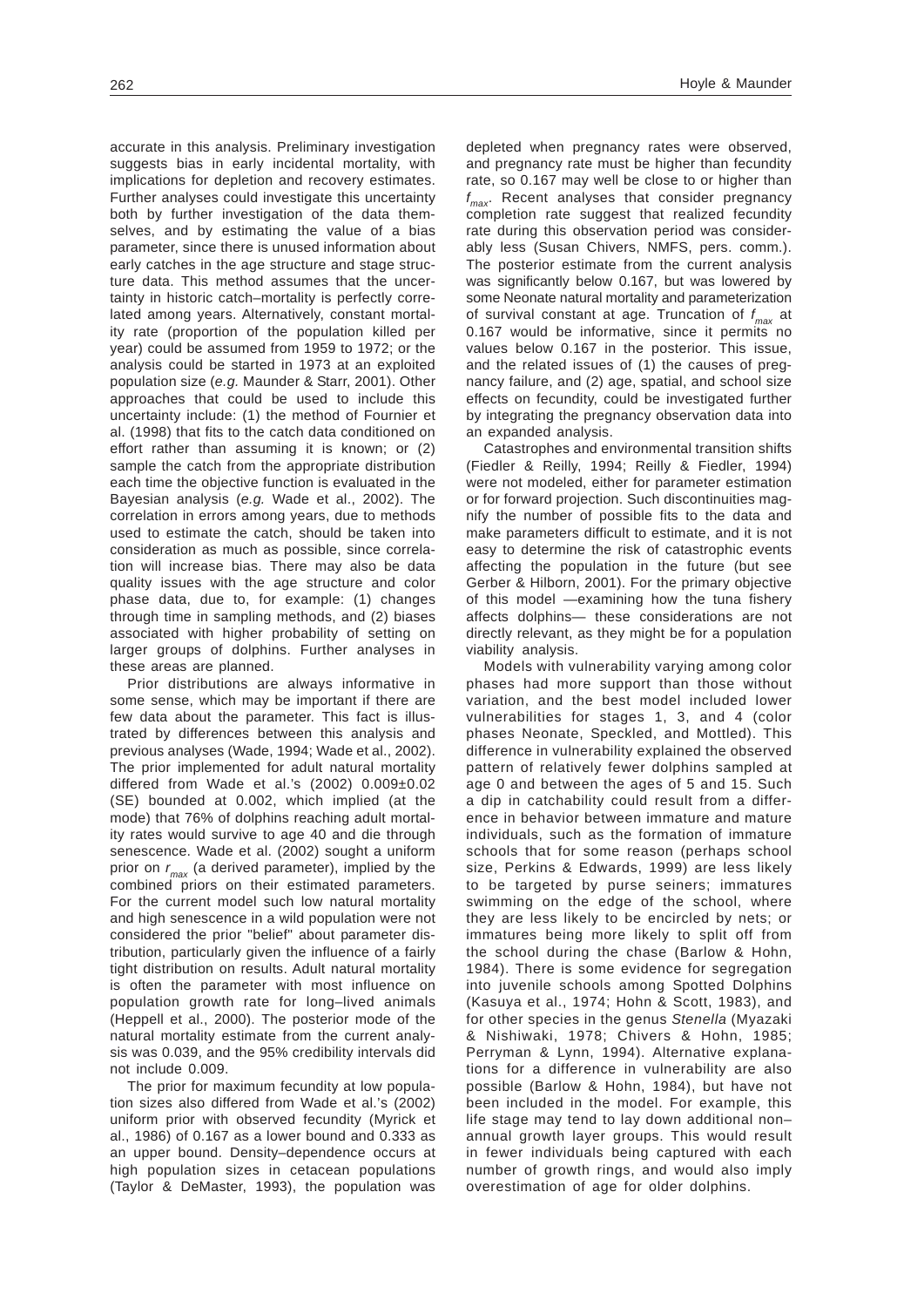accurate in this analysis. Preliminary investigation suggests bias in early incidental mortality, with implications for depletion and recovery estimates. Further analyses could investigate this uncertainty both by further investigation of the data themselves, and by estimating the value of a bias parameter, since there is unused information about early catches in the age structure and stage structure data. This method assumes that the uncertainty in historic catch–mortality is perfectly correlated among years. Alternatively, constant mortality rate (proportion of the population killed per year) could be assumed from 1959 to 1972; or the analysis could be started in 1973 at an exploited population size (*e.g.* Maunder & Starr, 2001). Other approaches that could be used to include this uncertainty include: (1) the method of Fournier et al. (1998) that fits to the catch data conditioned on effort rather than assuming it is known; or (2) sample the catch from the appropriate distribution each time the objective function is evaluated in the Bayesian analysis (*e.g.* Wade et al., 2002). The correlation in errors among years, due to methods used to estimate the catch, should be taken into consideration as much as possible, since correlation will increase bias. There may also be data quality issues with the age structure and color phase data, due to, for example: (1) changes through time in sampling methods, and (2) biases associated with higher probability of setting on larger groups of dolphins. Further analyses in these areas are planned.

Prior distributions are always informative in some sense, which may be important if there are few data about the parameter. This fact is illustrated by differences between this analysis and previous analyses (Wade, 1994; Wade et al., 2002). The prior implemented for adult natural mortality differed from Wade et al.'s (2002) 0.009±0.02 (SE) bounded at 0.002, which implied (at the mode) that 76% of dolphins reaching adult mortality rates would survive to age 40 and die through senescence. Wade et al. (2002) sought a uniform prior on *rmax* (a derived parameter), implied by the combined priors on their estimated parameters. For the current model such low natural mortality and high senescence in a wild population were not considered the prior "belief" about parameter distribution, particularly given the influence of a fairly tight distribution on results. Adult natural mortality is often the parameter with most influence on population growth rate for long–lived animals (Heppell et al., 2000). The posterior mode of the natural mortality estimate from the current analysis was 0.039, and the 95% credibility intervals did not include 0.009.

The prior for maximum fecundity at low population sizes also differed from Wade et al.'s (2002) uniform prior with observed fecundity (Myrick et al., 1986) of 0.167 as a lower bound and 0.333 as an upper bound. Density–dependence occurs at high population sizes in cetacean populations (Taylor & DeMaster, 1993), the population was

depleted when pregnancy rates were observed, and pregnancy rate must be higher than fecundity rate, so 0.167 may well be close to or higher than *f max*. Recent analyses that consider pregnancy completion rate suggest that realized fecundity rate during this observation period was considerably less (Susan Chivers, NMFS, pers. comm.). The posterior estimate from the current analysis was significantly below 0.167, but was lowered by some Neonate natural mortality and parameterization of survival constant at age. Truncation of *f max* at 0.167 would be informative, since it permits no values below 0.167 in the posterior. This issue, and the related issues of (1) the causes of pregnancy failure, and (2) age, spatial, and school size effects on fecundity, could be investigated further by integrating the pregnancy observation data into an expanded analysis.

Catastrophes and environmental transition shifts (Fiedler & Reilly, 1994; Reilly & Fiedler, 1994) were not modeled, either for parameter estimation or for forward projection. Such discontinuities magnify the number of possible fits to the data and make parameters difficult to estimate, and it is not easy to determine the risk of catastrophic events affecting the population in the future (but see Gerber & Hilborn, 2001). For the primary objective of this model —examining how the tuna fishery affects dolphins— these considerations are not directly relevant, as they might be for a population viability analysis.

Models with vulnerability varying among color phases had more support than those without variation, and the best model included lower vulnerabilities for stages 1, 3, and 4 (color phases Neonate, Speckled, and Mottled). This difference in vulnerability explained the observed pattern of relatively fewer dolphins sampled at age 0 and between the ages of 5 and 15. Such a dip in catchability could result from a difference in behavior between immature and mature individuals, such as the formation of immature schools that for some reason (perhaps school size, Perkins & Edwards, 1999) are less likely to be targeted by purse seiners; immatures swimming on the edge of the school, where they are less likely to be encircled by nets; or immatures being more likely to split off from the school during the chase (Barlow & Hohn, 1984). There is some evidence for segregation into juvenile schools among Spotted Dolphins (Kasuya et al., 1974; Hohn & Scott, 1983), and for other species in the genus *Stenella* (Myazaki & Nishiwaki, 1978; Chivers & Hohn, 1985; Perryman & Lynn, 1994). Alternative explanations for a difference in vulnerability are also possible (Barlow & Hohn, 1984), but have not been included in the model. For example, this life stage may tend to lay down additional non– annual growth layer groups. This would result in fewer individuals being captured with each number of growth rings, and would also imply overestimation of age for older dolphins.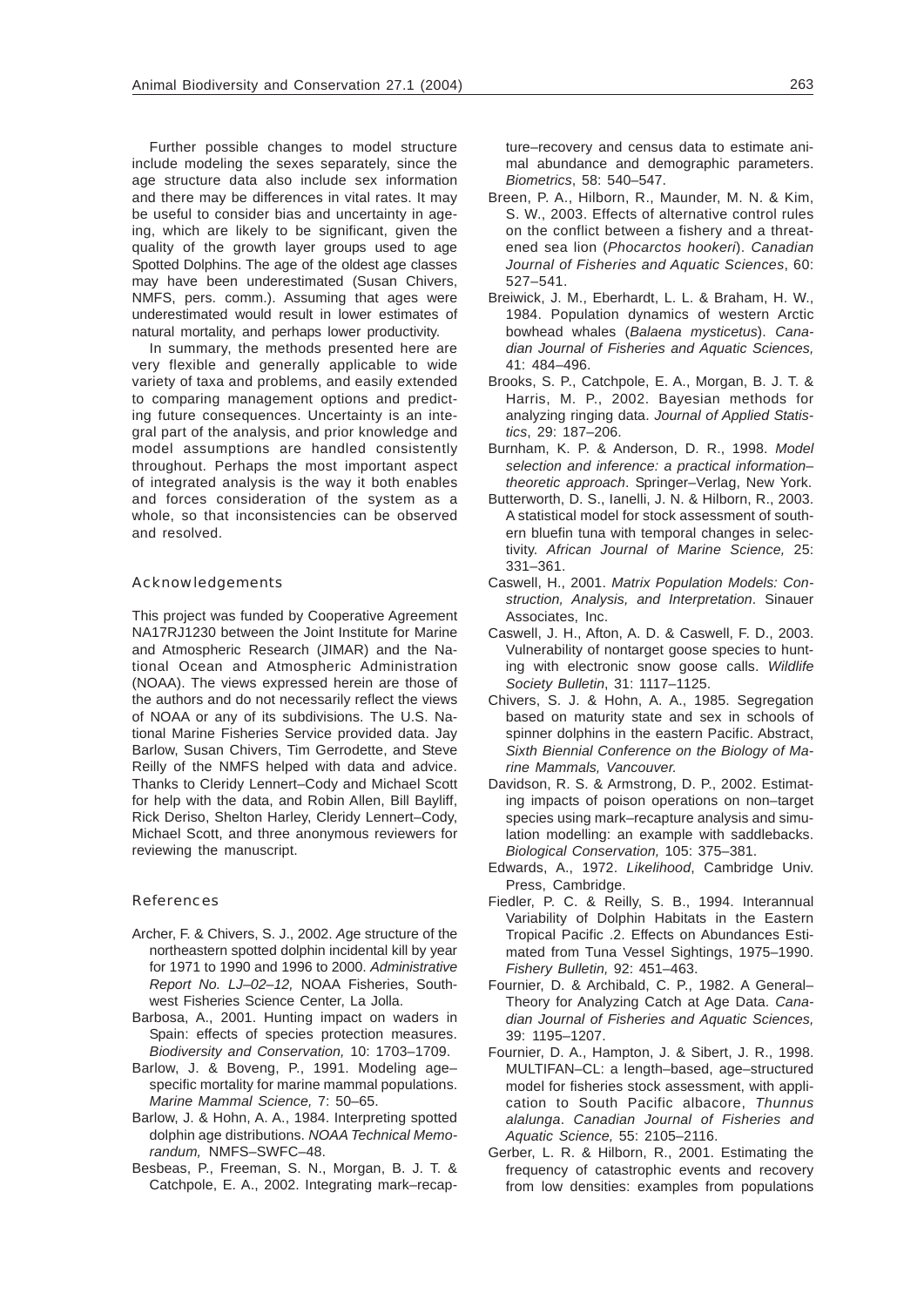Further possible changes to model structure include modeling the sexes separately, since the age structure data also include sex information and there may be differences in vital rates. It may be useful to consider bias and uncertainty in ageing, which are likely to be significant, given the quality of the growth layer groups used to age Spotted Dolphins. The age of the oldest age classes may have been underestimated (Susan Chivers, NMFS, pers. comm.). Assuming that ages were underestimated would result in lower estimates of natural mortality, and perhaps lower productivity.

In summary, the methods presented here are very flexible and generally applicable to wide variety of taxa and problems, and easily extended to comparing management options and predicting future consequences. Uncertainty is an integral part of the analysis, and prior knowledge and model assumptions are handled consistently throughout. Perhaps the most important aspect of integrated analysis is the way it both enables and forces consideration of the system as a whole, so that inconsistencies can be observed and resolved.

## Acknowledgements

This project was funded by Cooperative Agreement NA17RJ1230 between the Joint Institute for Marine and Atmospheric Research (JIMAR) and the National Ocean and Atmospheric Administration (NOAA). The views expressed herein are those of the authors and do not necessarily reflect the views of NOAA or any of its subdivisions. The U.S. National Marine Fisheries Service provided data. Jay Barlow, Susan Chivers, Tim Gerrodette, and Steve Reilly of the NMFS helped with data and advice. Thanks to Cleridy Lennert–Cody and Michael Scott for help with the data, and Robin Allen, Bill Bayliff, Rick Deriso, Shelton Harley, Cleridy Lennert–Cody, Michael Scott, and three anonymous reviewers for reviewing the manuscript.

#### References

- Archer, F. & Chivers, S. J., 2002. *A*ge structure of the northeastern spotted dolphin incidental kill by year for 1971 to 1990 and 1996 to 2000. *Administrative Report No. LJ–02–12,* NOAA Fisheries, Southwest Fisheries Science Center, La Jolla.
- Barbosa, A., 2001. Hunting impact on waders in Spain: effects of species protection measures. *Biodiversity and Conservation,* 10: 1703–1709.
- Barlow, J. & Boveng, P., 1991. Modeling age– specific mortality for marine mammal populations. *Marine Mammal Science,* 7: 50–65.
- Barlow, J. & Hohn, A. A., 1984. Interpreting spotted dolphin age distributions. *NOAA Technical Memorandum,* NMFS–SWFC–48.
- Besbeas, P., Freeman, S. N., Morgan, B. J. T. & Catchpole, E. A., 2002. Integrating mark–recap-

ture–recovery and census data to estimate animal abundance and demographic parameters. *Biometrics*, 58: 540–547.

- Breen, P. A., Hilborn, R., Maunder, M. N. & Kim, S. W., 2003. Effects of alternative control rules on the conflict between a fishery and a threatened sea lion (*Phocarctos hookeri*). *Canadian Journal of Fisheries and Aquatic Sciences*, 60: 527–541.
- Breiwick, J. M., Eberhardt, L. L. & Braham, H. W., 1984. Population dynamics of western Arctic bowhead whales (*Balaena mysticetus*). *Canadian Journal of Fisheries and Aquatic Sciences,* 41: 484–496.
- Brooks, S. P., Catchpole, E. A., Morgan, B. J. T. & Harris, M. P., 2002. Bayesian methods for analyzing ringing data. *Journal of Applied Statistics*, 29: 187–206.
- Burnham, K. P. & Anderson, D. R., 1998. *Model selection and inference: a practical information– theoretic approach*. Springer–Verlag, New York.
- Butterworth, D. S., Ianelli, J. N. & Hilborn, R., 2003. A statistical model for stock assessment of southern bluefin tuna with temporal changes in selectivity. *African Journal of Marine Science,* 25: 331–361.
- Caswell, H., 2001. *Matrix Population Models: Construction, Analysis, and Interpretation*. Sinauer Associates, Inc.
- Caswell, J. H., Afton, A. D. & Caswell, F. D., 2003. Vulnerability of nontarget goose species to hunting with electronic snow goose calls. *Wildlife Society Bulletin*, 31: 1117–1125.
- Chivers, S. J. & Hohn, A. A., 1985. Segregation based on maturity state and sex in schools of spinner dolphins in the eastern Pacific. Abstract, *Sixth Biennial Conference on the Biology of Marine Mammals, Vancouver.*
- Davidson, R. S. & Armstrong, D. P., 2002. Estimating impacts of poison operations on non–target species using mark–recapture analysis and simulation modelling: an example with saddlebacks. *Biological Conservation,* 105: 375–381.
- Edwards, A., 1972. *Likelihood*, Cambridge Univ. Press, Cambridge.
- Fiedler, P. C. & Reilly, S. B., 1994. Interannual Variability of Dolphin Habitats in the Eastern Tropical Pacific .2. Effects on Abundances Estimated from Tuna Vessel Sightings, 1975–1990. *Fishery Bulletin,* 92: 451–463.
- Fournier, D. & Archibald, C. P., 1982. A General– Theory for Analyzing Catch at Age Data. *Canadian Journal of Fisheries and Aquatic Sciences,* 39: 1195–1207.
- Fournier, D. A., Hampton, J. & Sibert, J. R., 1998. MULTIFAN–CL: a length–based, age–structured model for fisheries stock assessment, with application to South Pacific albacore, *Thunnus alalunga*. *Canadian Journal of Fisheries and Aquatic Science,* 55: 2105–2116.
- Gerber, L. R. & Hilborn, R., 2001. Estimating the frequency of catastrophic events and recovery from low densities: examples from populations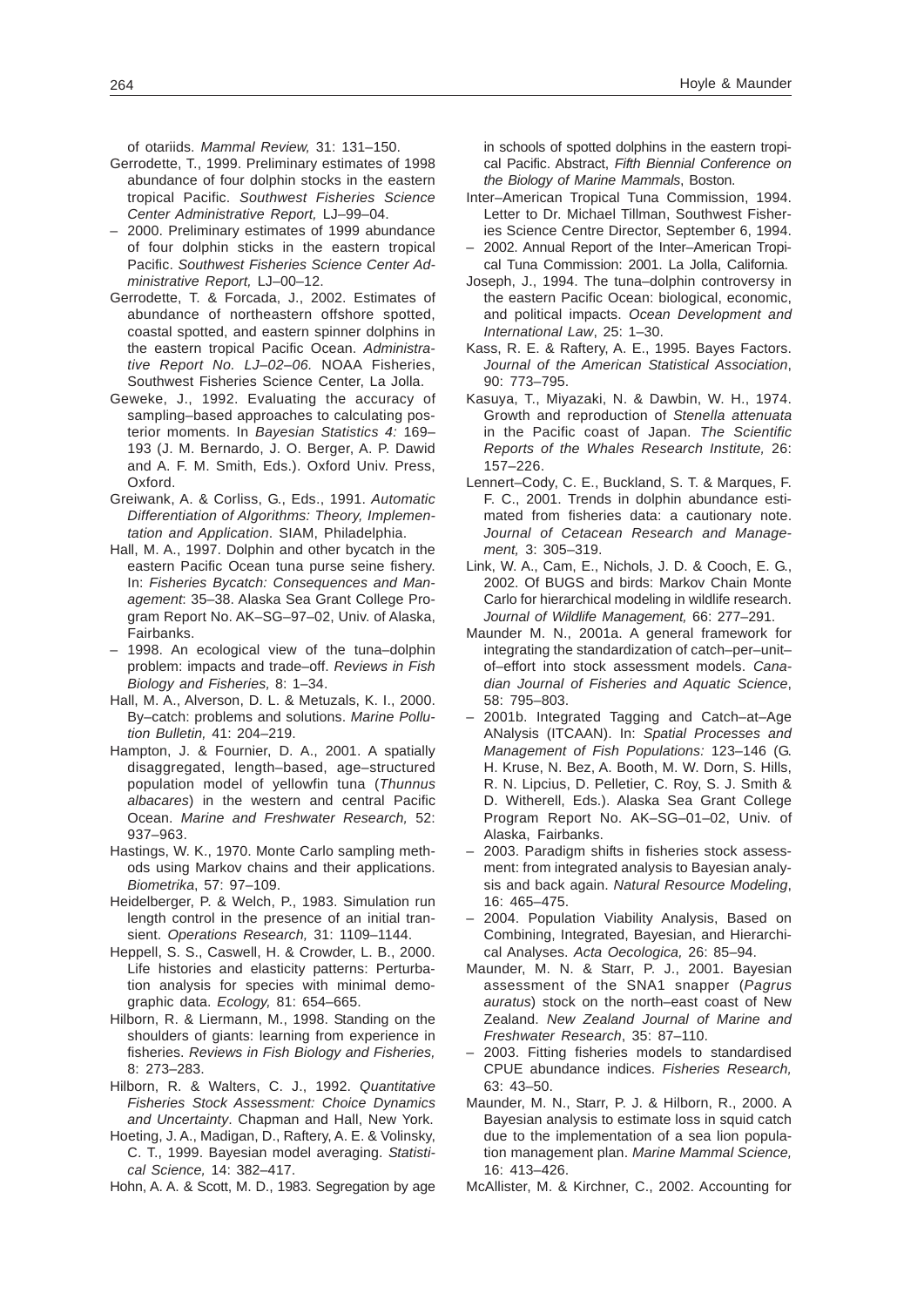of otariids. *Mammal Review,* 31: 131–150.

- Gerrodette, T., 1999. Preliminary estimates of 1998 abundance of four dolphin stocks in the eastern tropical Pacific. *Southwest Fisheries Science Center Administrative Report,* LJ–99–04.
- 2000. Preliminary estimates of 1999 abundance of four dolphin sticks in the eastern tropical Pacific. *Southwest Fisheries Science Center Administrative Report,* LJ–00–12.
- Gerrodette, T. & Forcada, J., 2002. Estimates of abundance of northeastern offshore spotted, coastal spotted, and eastern spinner dolphins in the eastern tropical Pacific Ocean. *Administrative Report No. LJ–02–06.* NOAA Fisheries, Southwest Fisheries Science Center, La Jolla.
- Geweke, J., 1992. Evaluating the accuracy of sampling–based approaches to calculating posterior moments. In *Bayesian Statistics 4:* 169– 193 (J. M. Bernardo, J. O. Berger, A. P. Dawid and A. F. M. Smith, Eds.). Oxford Univ. Press, Oxford.
- Greiwank, A. & Corliss, G., Eds., 1991. *Automatic Differentiation of Algorithms: Theory, Implementation and Application*. SIAM, Philadelphia.
- Hall, M. A., 1997. Dolphin and other bycatch in the eastern Pacific Ocean tuna purse seine fishery. In: *Fisheries Bycatch: Consequences and Management*: 35–38. Alaska Sea Grant College Program Report No. AK–SG–97–02, Univ. of Alaska, Fairbanks.
- 1998. An ecological view of the tuna–dolphin problem: impacts and trade–off. *Reviews in Fish Biology and Fisheries,* 8: 1–34.
- Hall, M. A., Alverson, D. L. & Metuzals, K. I., 2000. By–catch: problems and solutions. *Marine Pollution Bulletin,* 41: 204–219.
- Hampton, J. & Fournier, D. A., 2001. A spatially disaggregated, length–based, age–structured population model of yellowfin tuna (*Thunnus albacares*) in the western and central Pacific Ocean. *Marine and Freshwater Research,* 52: 937–963.
- Hastings, W. K., 1970. Monte Carlo sampling methods using Markov chains and their applications. *Biometrika*, 57: 97–109.
- Heidelberger, P. & Welch, P., 1983. Simulation run length control in the presence of an initial transient. *Operations Research,* 31: 1109–1144.
- Heppell, S. S., Caswell, H. & Crowder, L. B., 2000. Life histories and elasticity patterns: Perturbation analysis for species with minimal demographic data. *Ecology,* 81: 654–665.
- Hilborn, R. & Liermann, M., 1998. Standing on the shoulders of giants: learning from experience in fisheries. *Reviews in Fish Biology and Fisheries,* 8: 273–283.
- Hilborn, R. & Walters, C. J., 1992. *Quantitative Fisheries Stock Assessment: Choice Dynamics and Uncertainty*. Chapman and Hall, New York.
- Hoeting, J. A., Madigan, D., Raftery, A. E. & Volinsky, C. T., 1999. Bayesian model averaging. *Statistical Science,* 14: 382–417.
- Hohn, A. A. & Scott, M. D., 1983. Segregation by age

in schools of spotted dolphins in the eastern tropical Pacific. Abstract, *Fifth Biennial Conference on the Biology of Marine Mammals*, Boston.

- Inter–American Tropical Tuna Commission, 1994. Letter to Dr. Michael Tillman, Southwest Fisheries Science Centre Director, September 6, 1994.
- 2002. Annual Report of the Inter–American Tropical Tuna Commission: 2001. La Jolla, California.
- Joseph, J., 1994. The tuna–dolphin controversy in the eastern Pacific Ocean: biological, economic, and political impacts. *Ocean Development and International Law*, 25: 1–30.
- Kass, R. E. & Raftery, A. E., 1995. Bayes Factors. *Journal of the American Statistical Association*, 90: 773–795.
- Kasuya, T., Miyazaki, N. & Dawbin, W. H., 1974. Growth and reproduction of *Stenella attenuata* in the Pacific coast of Japan. *The Scientific Reports of the Whales Research Institute,* 26: 157–226.
- Lennert–Cody, C. E., Buckland, S. T. & Marques, F. F. C., 2001. Trends in dolphin abundance estimated from fisheries data: a cautionary note. *Journal of Cetacean Research and Management,* 3: 305–319.
- Link, W. A., Cam, E., Nichols, J. D. & Cooch, E. G., 2002. Of BUGS and birds: Markov Chain Monte Carlo for hierarchical modeling in wildlife research. *Journal of Wildlife Management,* 66: 277–291.
- Maunder M. N., 2001a. A general framework for integrating the standardization of catch–per–unit– of–effort into stock assessment models. *Canadian Journal of Fisheries and Aquatic Science*, 58: 795–803.
- 2001b. Integrated Tagging and Catch–at–Age ANalysis (ITCAAN). In: *Spatial Processes and Management of Fish Populations:* 123–146 (G. H. Kruse, N. Bez, A. Booth, M. W. Dorn, S. Hills, R. N. Lipcius, D. Pelletier, C. Roy, S. J. Smith & D. Witherell, Eds.). Alaska Sea Grant College Program Report No. AK–SG–01–02, Univ. of Alaska, Fairbanks.
- 2003. Paradigm shifts in fisheries stock assessment: from integrated analysis to Bayesian analysis and back again. *Natural Resource Modeling*, 16: 465–475.
- 2004. Population Viability Analysis, Based on Combining, Integrated, Bayesian, and Hierarchical Analyses. *Acta Oecologica,* 26: 85–94.
- Maunder, M. N. & Starr, P. J., 2001. Bayesian assessment of the SNA1 snapper (*Pagrus auratus*) stock on the north–east coast of New Zealand. *New Zealand Journal of Marine and Freshwater Research*, 35: 87–110.
- 2003. Fitting fisheries models to standardised CPUE abundance indices. *Fisheries Research,* 63: 43–50.
- Maunder, M. N., Starr, P. J. & Hilborn, R., 2000. A Bayesian analysis to estimate loss in squid catch due to the implementation of a sea lion population management plan. *Marine Mammal Science,* 16: 413–426.
- McAllister, M. & Kirchner, C., 2002. Accounting for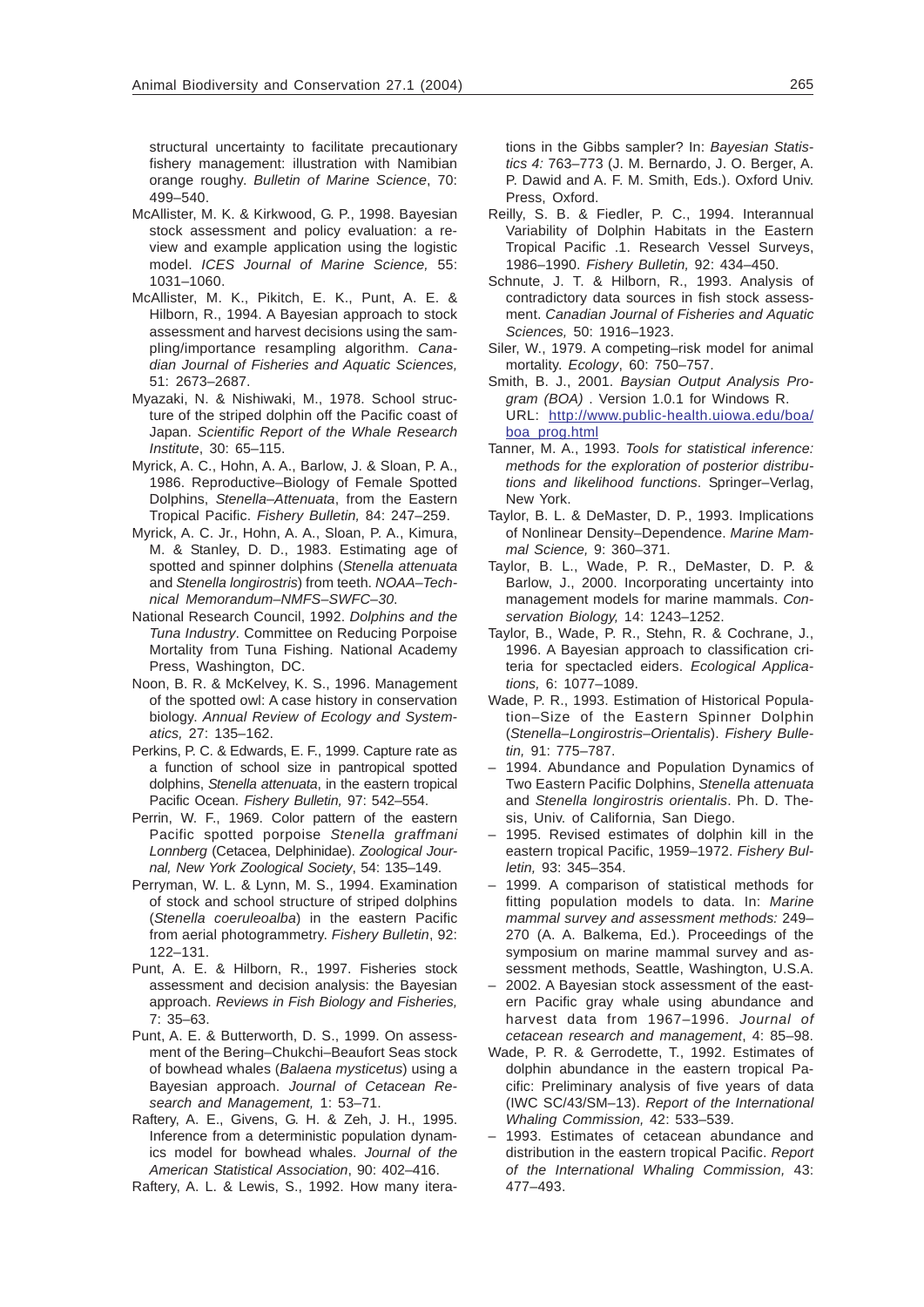structural uncertainty to facilitate precautionary fishery management: illustration with Namibian orange roughy. *Bulletin of Marine Science*, 70: 499–540.

- McAllister, M. K. & Kirkwood, G. P., 1998. Bayesian stock assessment and policy evaluation: a review and example application using the logistic model. *ICES Journal of Marine Science,* 55: 1031–1060.
- McAllister, M. K., Pikitch, E. K., Punt, A. E. & Hilborn, R., 1994. A Bayesian approach to stock assessment and harvest decisions using the sampling/importance resampling algorithm. *Canadian Journal of Fisheries and Aquatic Sciences,* 51: 2673–2687.
- Myazaki, N. & Nishiwaki, M., 1978. School structure of the striped dolphin off the Pacific coast of Japan. *Scientific Report of the Whale Research Institute*, 30: 65–115.
- Myrick, A. C., Hohn, A. A., Barlow, J. & Sloan, P. A., 1986. Reproductive–Biology of Female Spotted Dolphins, *Stenella–Attenuata*, from the Eastern Tropical Pacific. *Fishery Bulletin,* 84: 247–259.
- Myrick, A. C. Jr., Hohn, A. A., Sloan, P. A., Kimura, M. & Stanley, D. D., 1983. Estimating age of spotted and spinner dolphins (*Stenella attenuata* and *Stenella longirostris*) from teeth. *NOAA–Technical Memorandum–NMFS–SWFC–30*.
- National Research Council, 1992. *Dolphins and the Tuna Industry*. Committee on Reducing Porpoise Mortality from Tuna Fishing. National Academy Press, Washington, DC.
- Noon, B. R. & McKelvey, K. S., 1996. Management of the spotted owl: A case history in conservation biology. *Annual Review of Ecology and Systematics,* 27: 135–162.
- Perkins, P. C. & Edwards, E. F., 1999. Capture rate as a function of school size in pantropical spotted dolphins, *Stenella attenuata*, in the eastern tropical Pacific Ocean. *Fishery Bulletin,* 97: 542–554.
- Perrin, W. F., 1969. Color pattern of the eastern Pacific spotted porpoise *Stenella graffmani Lonnberg* (Cetacea, Delphinidae). *Zoological Journal, New York Zoological Society*, 54: 135–149.
- Perryman, W. L. & Lynn, M. S., 1994. Examination of stock and school structure of striped dolphins (*Stenella coeruleoalba*) in the eastern Pacific from aerial photogrammetry. *Fishery Bulletin*, 92: 122–131.
- Punt, A. E. & Hilborn, R., 1997. Fisheries stock assessment and decision analysis: the Bayesian approach. *Reviews in Fish Biology and Fisheries,* 7: 35–63.
- Punt, A. E. & Butterworth, D. S., 1999. On assessment of the Bering–Chukchi–Beaufort Seas stock of bowhead whales (*Balaena mysticetus*) using a Bayesian approach. *Journal of Cetacean Research and Management,* 1: 53–71.
- Raftery, A. E., Givens, G. H. & Zeh, J. H., 1995. Inference from a deterministic population dynamics model for bowhead whales. *Journal of the American Statistical Association*, 90: 402–416.
- Raftery, A. L. & Lewis, S., 1992. How many itera-

tions in the Gibbs sampler? In: *Bayesian Statistics 4:* 763–773 (J. M. Bernardo, J. O. Berger, A. P. Dawid and A. F. M. Smith, Eds.). Oxford Univ. Press, Oxford.

- Reilly, S. B. & Fiedler, P. C., 1994. Interannual Variability of Dolphin Habitats in the Eastern Tropical Pacific .1. Research Vessel Surveys, 1986–1990. *Fishery Bulletin,* 92: 434–450.
- Schnute, J. T. & Hilborn, R., 1993. Analysis of contradictory data sources in fish stock assessment. *Canadian Journal of Fisheries and Aquatic Sciences,* 50: 1916–1923.
- Siler, W., 1979. A competing–risk model for animal mortality. *Ecology*, 60: 750–757.
- Smith, B. J., 2001. *Baysian Output Analysis Program (BOA)* . Version 1.0.1 for Windows R. URL: [http://www.public-health.uiowa.edu/boa/](http://www.public-health.uiowa.edu/boa/boa_prog.html) [boa\\_prog.html](http://www.public-health.uiowa.edu/boa/boa_prog.html)
- Tanner, M. A., 1993. *Tools for statistical inference: methods for the exploration of posterior distributions and likelihood functions*. Springer–Verlag, New York.
- Taylor, B. L. & DeMaster, D. P., 1993. Implications of Nonlinear Density–Dependence. *Marine Mammal Science,* 9: 360–371.
- Taylor, B. L., Wade, P. R., DeMaster, D. P. & Barlow, J., 2000. Incorporating uncertainty into management models for marine mammals. *Conservation Biology,* 14: 1243–1252.
- Taylor, B., Wade, P. R., Stehn, R. & Cochrane, J., 1996. A Bayesian approach to classification criteria for spectacled eiders. *Ecological Applications,* 6: 1077–1089.
- Wade, P. R., 1993. Estimation of Historical Population–Size of the Eastern Spinner Dolphin (*Stenella–Longirostris–Orientalis*). *Fishery Bulletin,* 91: 775–787.
- 1994. Abundance and Population Dynamics of Two Eastern Pacific Dolphins, *Stenella attenuata* and *Stenella longirostris orientalis*. Ph. D. Thesis, Univ. of California, San Diego.
- 1995. Revised estimates of dolphin kill in the eastern tropical Pacific, 1959–1972. *Fishery Bulletin,* 93: 345–354.
- 1999. A comparison of statistical methods for fitting population models to data. In: *Marine mammal survey and assessment methods:* 249– 270 (A. A. Balkema, Ed.). Proceedings of the symposium on marine mammal survey and assessment methods, Seattle, Washington, U.S.A.
- 2002. A Bayesian stock assessment of the eastern Pacific gray whale using abundance and harvest data from 1967–1996. *Journal of cetacean research and management*, 4: 85–98.
- Wade, P. R. & Gerrodette, T., 1992. Estimates of dolphin abundance in the eastern tropical Pacific: Preliminary analysis of five years of data (IWC SC/43/SM–13). *Report of the International Whaling Commission,* 42: 533–539.
- 1993. Estimates of cetacean abundance and distribution in the eastern tropical Pacific. *Report of the International Whaling Commission,* 43: 477–493.